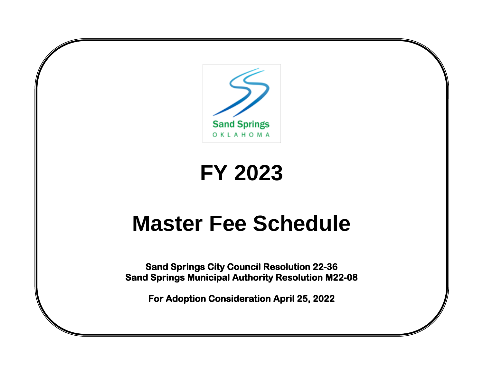

# **FY 2023**

# **Master Fee Schedule**

**Sand Springs City Council Resolution 22-36 Sand Springs Municipal Authority Resolution M22-08** 

**For Adoption Consideration April 25, 2022**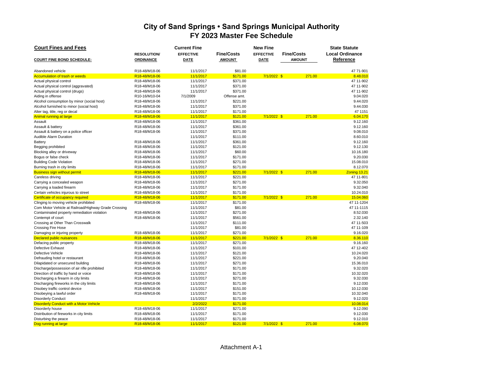| <b>Court Fines and Fees</b>                          |                    | <b>Current Fine</b> |                   | <b>State Statute</b>                  |               |                        |  |
|------------------------------------------------------|--------------------|---------------------|-------------------|---------------------------------------|---------------|------------------------|--|
|                                                      | <b>RESOLUTION/</b> | <b>EFFECTIVE</b>    | <b>Fine/Costs</b> | <b>Fine/Costs</b><br><b>EFFECTIVE</b> |               | <b>Local Ordinance</b> |  |
| <b>COURT FINE BOND SCHEDULE:</b>                     | <b>ORDINANCE</b>   | <b>DATE</b>         | <b>AMOUNT</b>     | <b>DATE</b>                           | <b>AMOUNT</b> | Reference              |  |
|                                                      |                    |                     |                   |                                       |               |                        |  |
| Abandoned vehicle                                    | R18-48/M18-06      | 11/1/2017           | \$81.00           |                                       |               | 47 71-901              |  |
| <b>Accumulation of trash or weeds</b>                | R18-48/M18-06      | 11/1/2017           | \$171.00          | 7/1/2022 \$                           | 271.00        | 8.48.010               |  |
| Actual physical control                              | R18-48/M18-06      | 11/1/2017           | \$371.00          |                                       |               | 47 11-902              |  |
| Actual physical control (aggravated)                 | R18-48/M18-06      | 11/1/2017           | \$371.00          |                                       |               | 47 11-902              |  |
| Actual physical control (drugs)                      | R18-48/M18-06      | 11/1/2017           | \$371.00          |                                       |               | 47 11-902              |  |
| Aiding in offense                                    | R10-16/M10-04      | 7/1/2009            | Offense amt.      |                                       |               | 9.04.020               |  |
| Alcohol consumption by minor (social host)           | R18-48/M18-06      | 11/1/2017           | \$221.00          |                                       |               | 9.44.020               |  |
| Alcohol furnished to minor (social host)             | R18-48/M18-06      | 11/1/2017           | \$371.00          |                                       |               | 9.44.030               |  |
| Alter tag, title, reg or decal                       | R18-48/M18-06      | 11/1/2017           | \$171.00          |                                       |               | 47 1151                |  |
| Animal running at large                              | R18-48/M18-06      | 11/1/2017           | \$121.00          | 7/1/2022 \$                           | 271.00        | 6.04.170               |  |
| Assault                                              | R18-48/M18-06      | 11/1/2017           | \$361.00          |                                       |               | 9.12.160               |  |
| Assault & battery                                    | R18-48/M18-06      | 11/1/2017           | \$361.00          |                                       |               | 9.12.160               |  |
| Assault & battery on a police officer                | R18-48/M18-06      | 11/1/2017           | \$371.00          |                                       |               | 9.08.010               |  |
| <b>Audible Alarm Duration</b>                        |                    | 11/1/2017           | \$111.00          |                                       |               | 8.60.010               |  |
| Battery                                              | R18-48/M18-06      | 11/1/2017           | \$361.00          |                                       |               | 9.12.160               |  |
| Begging prohibited                                   | R18-48/M18-06      | 11/1/2017           | \$121.00          |                                       |               | 9.12.130               |  |
| Blocking alley or driveway                           | R18-48/M18-06      | 11/1/2017           | \$60.00           |                                       |               | 10.16.180              |  |
| Bogus or false check                                 | R18-48/M18-06      | 11/1/2017           | \$171.00          |                                       |               | 9.20.030               |  |
| <b>Building Code Violation</b>                       | R18-48/M18-06      | 11/1/2017           | \$271.00          |                                       |               | 15.08.010              |  |
| Burning trash in city limits                         | R18-48/M18-06      | 11/1/2017           | \$171.00          |                                       |               | 8.12.070               |  |
| <b>Business sign without permit</b>                  | R18-48/M18-06      | 11/1/2017           | \$221.00          | $7/1/2022$ \$                         | 271.00        | Zoning 13.21           |  |
| Careless driving                                     | R18-48/M18-06      | 11/1/2017           | \$221.00          |                                       |               | 47 11-801              |  |
| Carrying a concealed weapon                          | R18-48/M18-06      | 11/1/2017           | \$271.00          |                                       |               | 9.32.050               |  |
| Carrying a loaded firearm                            | R18-48/M18-06      | 11/1/2017           | \$171.00          |                                       |               | 9.32.040               |  |
| Certain vehicles injurous to street                  | R18-48/M18-06      | 11/1/2017           | \$171.00          |                                       |               | 10.24.010              |  |
| Certificate of occupancy required                    | R18-48/M18-06      | 11/1/2017           | \$171.00          | 7/1/2022 \$                           | 271.00        | 15.04.060              |  |
| Clinging to moving vehicle prohibited                | R18-48/M18-06      | 11/1/2017           | \$171.00          |                                       |               | 47 11-1204             |  |
|                                                      |                    |                     | \$81.00           |                                       |               | 47 11-1115             |  |
| Com Motor Vehicle at Railroad/Highway Grade Crossing | R18-48/M18-06      | 11/1/2017           |                   |                                       |               |                        |  |
| Contaminated property remediation violation          |                    | 11/1/2017           | \$271.00          |                                       |               | 8.52.030<br>2.32.140   |  |
| Contempt of court                                    | R18-48/M18-06      | 11/1/2017           | \$561.00          |                                       |               | 47 11-503              |  |
| Crossing at Other Than Crosswalk                     |                    | 11/1/2017           | \$111.00          |                                       |               | 47 11-109              |  |
| <b>Crossing Fire Hose</b>                            |                    | 11/1/2017           | \$81.00           |                                       |               | 9.16.020               |  |
| Damaging or injuring property                        | R18-48/M18-06      | 11/1/2017           | \$271.00          |                                       |               |                        |  |
| <b>Declared public nuisances</b>                     | R18-48/M18-06      | 11/1/2017           | \$221.00          | $7/1/2022$ \$                         | 271.00        | 8.36.110               |  |
| Defacing public property                             | R18-48/M18-06      | 11/1/2017           | \$271.00          |                                       |               | 9.16.160               |  |
| Defective Exhaust                                    | R18-48/M18-06      | 11/1/2017           | \$101.00          |                                       |               | 47 12-402              |  |
| Defective Vehicle                                    | R18-48/M18-06      | 11/1/2017           | \$121.00          |                                       |               | 10.24.020              |  |
| Defrauding hotel or restaurant                       | R18-48/M18-06      | 11/1/2017           | \$221.00          |                                       |               | 9.20.040               |  |
| Dilapidated or unsecured building                    | R18-48/M18-06      | 11/1/2017           | \$271.00          |                                       |               | 15.36.010              |  |
| Discharge/possession of air rifle prohibited         | R18-48/M18-06      | 11/1/2017           | \$171.00          |                                       |               | 9.32.020               |  |
| Direction of traffic by hand or voice                | R18-48/M18-06      | 11/1/2017           | \$171.00          |                                       |               | 10.32.020              |  |
| Discharging a firearm in city limits                 | R18-48/M18-06      | 11/1/2017           | \$271.00          |                                       |               | 9.32.030               |  |
| Discharging fireworks in the city limits             | R18-48/M18-06      | 11/1/2017           | \$171.00          |                                       |               | 9.12.030               |  |
| Disobey traffic control device                       | R18-48/M18-06      | 11/1/2017           | \$151.00          |                                       |               | 10.12.030              |  |
| Disobeying a lawful order                            | R18-48/M18-06      | 11/1/2017           | \$171.00          |                                       |               | 10.32.040              |  |
| <b>Disorderly Conduct</b>                            |                    | 11/1/2017           | \$171.00          |                                       |               | 9.12.020               |  |
| <b>Disorderly Conduct with a Motor Vehicle</b>       |                    | 2/2/2022            | \$171.00          |                                       |               | 10.08.014              |  |
| Disorderly house                                     | R18-48/M18-06      | 11/1/2017           | \$271.00          |                                       |               | 9.12.090               |  |
| Distribution of fireworks in city limits             | R18-48/M18-06      | 11/1/2017           | \$171.00          |                                       |               | 9.12.030               |  |
| Disturbing the peace                                 | R18-48/M18-06      | 11/1/2017           | \$171.00          |                                       |               | 9.12.010               |  |
| Dog running at large                                 | R18-48/M18-06      | 11/1/2017           | \$121.00          | $7/1/2022$ \$                         | 271.00        | 6.08.070               |  |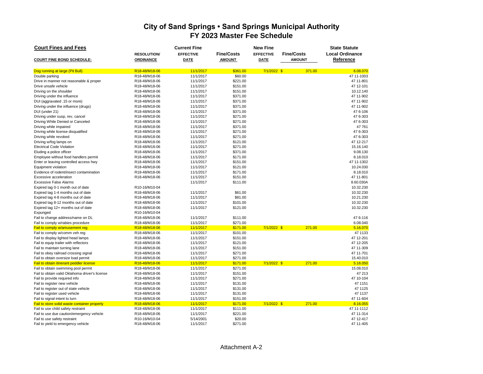| <b>Court Fines and Fees</b>                    |                                         | <b>Current Fine</b> |                   | <b>New Fine</b>  |                   |                        |  |  |  |  |
|------------------------------------------------|-----------------------------------------|---------------------|-------------------|------------------|-------------------|------------------------|--|--|--|--|
|                                                | <b>RESOLUTION/</b>                      | <b>EFFECTIVE</b>    | <b>Fine/Costs</b> | <b>EFFECTIVE</b> | <b>Fine/Costs</b> | <b>Local Ordinance</b> |  |  |  |  |
| <b>COURT FINE BOND SCHEDULE:</b>               | <b>ORDINANCE</b>                        | <b>DATE</b>         | <b>AMOUNT</b>     | <b>DATE</b>      | <b>AMOUNT</b>     | Reference              |  |  |  |  |
|                                                |                                         |                     |                   |                  |                   |                        |  |  |  |  |
| Dog running at large (Pit Bull)                | R18-48/M18-06                           | 11/1/2017           | \$361.00          | $7/1/2022$ \$    | 371.00            | 6.08.070               |  |  |  |  |
| Double parking                                 | R18-48/M18-06                           | 11/1/2017           | \$60.00           |                  |                   | 47 11-1003             |  |  |  |  |
| Drive in manner not reasonable & proper        | R18-48/M18-06                           | 11/1/2017           | \$221.00          |                  |                   | 47 11-801              |  |  |  |  |
| Drive unsafe vehicle                           | R18-48/M18-06                           | 11/1/2017           | \$151.00          |                  |                   | 47 12-101              |  |  |  |  |
| Driving on the shoulder                        | R18-48/M18-06                           | 11/1/2017           | \$151.00          |                  |                   | 10.12.140              |  |  |  |  |
| Driving under the influence                    | R18-48/M18-06                           | 11/1/2017           | \$371.00          |                  |                   | 47 11-902              |  |  |  |  |
| DUI (aggravated .15 or more)                   | R18-48/M18-06                           | 11/1/2017           | \$371.00          |                  |                   | 47 11-902              |  |  |  |  |
| Driving under the influence (drugs)            | R18-48/M18-06                           | 11/1/2017           | \$371.00          |                  |                   | 47 11-902              |  |  |  |  |
| DUI (under 21)                                 | R18-48/M18-06                           | 11/1/2017           | \$371.00          |                  |                   | 47 6-106               |  |  |  |  |
| Driving under susp, rev, cancel                | R18-48/M18-06                           | 11/1/2017           | \$271.00          |                  |                   | 476-303                |  |  |  |  |
| Driving While Denied or Canceled               | R18-48/M18-06                           | 11/1/2017           | \$271.00          |                  |                   | 47 6-303               |  |  |  |  |
| Driving while impaired                         | R18-48/M18-06                           | 11/1/2017           | \$371.00          |                  |                   | 47 761                 |  |  |  |  |
| Driving while license disqualified             | R18-48/M18-06                           | 11/1/2017           | \$271.00          |                  |                   | 476-303                |  |  |  |  |
| Driving while revoked                          | R18-48/M18-06                           | 11/1/2017           | \$271.00          |                  |                   | 47 6-303               |  |  |  |  |
| Driving w/fog lamps on                         | R18-48/M18-06                           | 11/1/2017           | \$121.00          |                  |                   | 47 12-217              |  |  |  |  |
| <b>Electrical Code Violation</b>               | R18-48/M18-06                           | 11/1/2017           | \$271.00          |                  |                   | 15.16.140              |  |  |  |  |
| Eluding a police officer                       | R18-48/M18-06                           | 11/1/2017           | \$371.00          |                  |                   | 9.08.130               |  |  |  |  |
| Employee without food handlers permit          | R18-48/M18-06                           | 11/1/2017           | \$171.00          |                  |                   | 8.18.010               |  |  |  |  |
| Enter or leaving controlled access hwy         | R18-48/M18-06                           | 11/1/2017           | \$151.00          |                  |                   | 47 11-1302             |  |  |  |  |
| Equipment violation                            | R18-48/M18-06                           | 11/1/2017           | \$121.00          |                  |                   | 10.24.030              |  |  |  |  |
| Evidence of rodent/insect contamination        | R18-48/M18-06                           | 11/1/2017           | \$171.00          |                  |                   | 8.18.010               |  |  |  |  |
| Excessive acceleration                         | R18-48/M18-06                           | 11/1/2017           | \$151.00          |                  |                   | 47 11-801              |  |  |  |  |
| <b>Excessive False Alarms</b>                  |                                         | 11/1/2017           | \$111.00          |                  |                   | 8.60.030A              |  |  |  |  |
| Expired tag 0-1 month out of date              | R10-16/M10-04                           |                     |                   |                  |                   | 10.32.230              |  |  |  |  |
| Expired tag 1-4 months out of date             | R18-48/M18-06                           | 11/1/2017           | \$61.00           |                  |                   | 10.32.230              |  |  |  |  |
| Expired tag 4-8 months out of date             | R18-48/M18-06                           | 11/1/2017           | \$81.00           |                  |                   | 10.21.230              |  |  |  |  |
| Expired tag 8-12 months out of date            | R18-48/M18-06                           | 11/1/2017           | \$101.00          |                  |                   | 10.32.230              |  |  |  |  |
| Expired tag 12+ months out of date             | R18-48/M18-06                           | 11/1/2017           | \$121.00          |                  |                   | 10.32.230              |  |  |  |  |
| Expunged                                       | R10-16/M10-04                           |                     |                   |                  |                   |                        |  |  |  |  |
| Fail to change address/name on DL              | R18-48/M18-06                           | 11/1/2017           | \$111.00          |                  |                   | 476-116                |  |  |  |  |
| Fail to comply w/rabies procedure              | R18-48/M18-06                           | 11/1/2017           | \$271.00          |                  |                   | 6.08.040               |  |  |  |  |
| Fail to comply w/amusement reg                 | R18-48/M18-06                           | 11/1/2017           | \$171.00          | $7/1/2022$ \$    | 271.00            | 5.16.070               |  |  |  |  |
| Fail to comply w/comm veh reg                  | R18-48/M18-06                           | 11/1/2017           | \$101.00          |                  |                   | 47 1133                |  |  |  |  |
| Fail to display lighted head lamps             | R18-48/M18-06                           | 11/1/2017           | \$151.00          |                  |                   | 47 12-201              |  |  |  |  |
| Fail to equip trailer with reflectors          | R18-48/M18-06                           | 11/1/2017           | \$121.00          |                  |                   | 47 12-205              |  |  |  |  |
| Fail to maintain turning lane                  | R18-48/M18-06                           | 11/1/2017           | \$151.00          |                  |                   | 47 11-309              |  |  |  |  |
| Fail to obey railroad crossing signal          | R18-48/M18-06                           | 11/1/2017           | \$271.00          |                  |                   | 47 11-701              |  |  |  |  |
| Fail to obtain oversize load permit            | R18-48/M18-06                           | 11/1/2017           | \$271.00          |                  |                   | 15.40.010              |  |  |  |  |
| Fail to obtain itinerant peddler license       | R <sub>18</sub> -48/M <sub>18</sub> -06 | <u>11/1/2017</u>    | \$171.00          | $7/1/2022$ \$    | 271.00            | 5.16.050               |  |  |  |  |
| Fail to obtain swimming pool permit            | R18-48/M18-06                           | 11/1/2017           | \$271.00          |                  |                   | 15.08.010              |  |  |  |  |
| Fail to obtain valid Oklahoma driver's license | R18-48/M18-06                           | 11/1/2017           | \$151.00          |                  |                   | 47 213                 |  |  |  |  |
| Fail to provide required info                  | R18-48/M18-06                           | 11/1/2017           | \$271.00          |                  |                   | 47 10-104              |  |  |  |  |
| Fail to register new vehicle                   | R18-48/M18-06                           | 11/1/2017           | \$131.00          |                  |                   | 47 1151                |  |  |  |  |
| Fail to register out of state vehicle          | R18-48/M18-06                           | 11/1/2017           | \$131.00          |                  |                   | 47 1125                |  |  |  |  |
| Fail to register used vehicle                  | R18-48/M18-06                           | 11/1/2017           | \$131.00          |                  |                   | 47 1137                |  |  |  |  |
| Fail to signal intent to turn                  | R18-48/M18-06                           | 11/1/2017           | \$151.00          |                  |                   | 47 11-604              |  |  |  |  |
| Fail to store solid waste container properly   | R18-48/M18-06                           | 11/1/2017           | \$171.00          | $7/1/2022$ \$    | 271.00            | 8.16.055               |  |  |  |  |
| Fail to use child safety restraint             | R18-48/M18-06                           | 11/1/2017           | \$111.00          |                  |                   | 47 11-1112             |  |  |  |  |
| Fail to use due caution/emergency vehicle      | R18-48/M18-06                           | 11/1/2017           | \$221.00          |                  |                   | 47 11-314              |  |  |  |  |
| Fail to use safety restraint                   | R10-16/M10-04                           | 5/14/2001           | \$20.00           |                  |                   | 47 12-417              |  |  |  |  |
| Fail to yield to emergency vehicle             | R18-48/M18-06                           | 11/1/2017           | \$271.00          |                  |                   | 47 11-405              |  |  |  |  |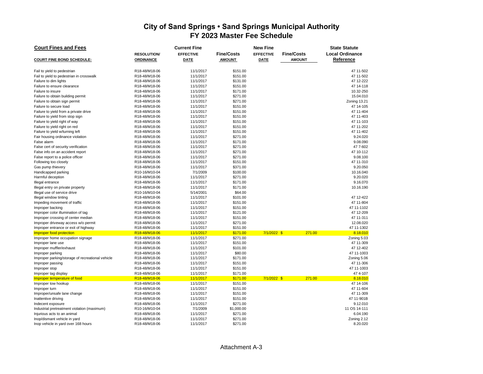| <b>Court Fines and Fees</b>                      |                   | <b>Current Fine</b> |                   | <b>New Fine</b>  |                   | <b>State Statute</b>   |  |  |  |
|--------------------------------------------------|-------------------|---------------------|-------------------|------------------|-------------------|------------------------|--|--|--|
|                                                  | <b>RESOLUTION</b> | <b>EFFECTIVE</b>    | <b>Fine/Costs</b> | <b>EFFECTIVE</b> | <b>Fine/Costs</b> | <b>Local Ordinance</b> |  |  |  |
| <b>COURT FINE BOND SCHEDULE:</b>                 | <b>ORDINANCE</b>  | <b>DATE</b>         | <b>AMOUNT</b>     | <b>DATE</b>      | <b>AMOUNT</b>     | Reference              |  |  |  |
|                                                  |                   |                     |                   |                  |                   |                        |  |  |  |
| Fail to yield to pedestrian                      | R18-48/M18-06     | 11/1/2017           | \$151.00          |                  |                   | 47 11-502              |  |  |  |
| Fail to yield to pedestrian in crosswalk         | R18-48/M18-06     | 11/1/2017           | \$151.00          |                  |                   | 47 11-502              |  |  |  |
| Failure to dim lights                            | R18-48/M18-06     | 11/1/2017           | \$131.00          |                  |                   | 47 12-222              |  |  |  |
| Failure to ensure clearance                      | R18-48/M18-06     | 11/1/2017           | \$151.00          |                  |                   | 47 14-118              |  |  |  |
| Failure to insure                                | R18-48/M18-06     | 11/1/2017           | \$171.00          |                  |                   | 10.32-250              |  |  |  |
| Failure to obtain building permit                | R18-48/M18-06     | 11/1/2017           | \$271.00          |                  |                   | 15.04.010              |  |  |  |
| Failure to obtain sign permit                    | R18-48/M18-06     | 11/1/2017           | \$271.00          |                  |                   | Zoning 13.21           |  |  |  |
| Failure to secure load                           | R18-48/M18-06     | 11/1/2017           | \$151.00          |                  |                   | 47 14-105              |  |  |  |
| Failure to yield from a private drive            | R18-48/M18-06     | 11/1/2017           | \$151.00          |                  |                   | 47 11-404              |  |  |  |
| Failure to yield from stop sign                  | R18-48/M18-06     | 11/1/2017           | \$151.00          |                  |                   | 47 11-403              |  |  |  |
| Failure to yield right of way                    | R18-48/M18-06     | 11/1/2017           | \$151.00          |                  |                   | 47 11-103              |  |  |  |
| Failure to yield right on red                    | R18-48/M18-06     | 11/1/2017           | \$151.00          |                  |                   | 47 11-202              |  |  |  |
| Failure to yield w/turning left                  | R18-48/M18-06     | 11/1/2017           | \$151.00          |                  |                   | 47 11-402              |  |  |  |
| Fair housing ordinance violation                 | R18-48/M18-06     | 11/1/2017           | \$271.00          |                  |                   | 9.24.020               |  |  |  |
| False alarm                                      | R18-48/M18-06     | 11/1/2017           | \$171.00          |                  |                   | 9.08.090               |  |  |  |
| False cert of security verification              | R18-48/M18-06     | 11/1/2017           | \$271.00          |                  |                   | 47 7-602               |  |  |  |
| False info on an accident report                 | R18-48/M18-06     | 11/1/2017           | \$271.00          |                  |                   | 47 10-112              |  |  |  |
| False report to a police officer                 | R18-48/M18-06     | 11/1/2017           | \$271.00          |                  |                   | 9.08.100               |  |  |  |
| Following too closely                            | R18-48/M18-06     | 11/1/2017           | \$151.00          |                  |                   | 47 11-310              |  |  |  |
| Gas pump thievery                                | R18-48/M18-06     | 11/1/2017           | \$371.00          |                  |                   | 9.20.050               |  |  |  |
| Handicapped parking                              | R10-16/M10-04     | 7/1/2009            | \$100.00          |                  |                   | 10.16.040              |  |  |  |
| Harmful deception                                | R18-48/M18-06     | 11/1/2017           | \$271.00          |                  |                   | 9.20.020               |  |  |  |
| Illegal entrance                                 | R18-48/M18-06     | 11/1/2017           | \$171.00          |                  |                   | 9.16.070               |  |  |  |
| Illegal entry on private property                | R18-48/M18-06     | 11/1/2017           | \$171.00          |                  |                   | 10.16.190              |  |  |  |
| Illegal use of service drive                     | R10-16/M10-04     | 5/14/2001           | \$64.00           |                  |                   |                        |  |  |  |
| Illegal window tinting                           | R18-48/M18-06     | 11/1/2017           | \$101.00          |                  |                   | 47 12-422              |  |  |  |
| Impeding movement of traffic                     | R18-48/M18-06     | 11/1/2017           | \$151.00          |                  |                   | 47 11-804              |  |  |  |
| Improper backing                                 | R18-48/M18-06     | 11/1/2017           | \$151.00          |                  |                   | 47 11-1102             |  |  |  |
| Improper color illumination of tag               | R18-48/M18-06     | 11/1/2017           | \$121.00          |                  |                   | 47 12-209              |  |  |  |
| Improper crossing of center median               | R18-48/M18-06     | 11/1/2017           | \$151.00          |                  |                   | 47 11-311              |  |  |  |
| Improper driveway access w/o permit              | R18-48/M18-06     | 11/1/2017           | \$271.00          |                  |                   | 12.08.020              |  |  |  |
| Improper entrance or exit of highway             | R18-48/M18-06     | 11/1/2017           | \$151.00          |                  |                   | 47 11-1302             |  |  |  |
| Improper food protection                         | R18-48/M18-06     | 11/1/2017           | \$171.00          | $7/1/2022$ \$    | 271.00            | 8.18.010               |  |  |  |
| Improper home occupation signage                 | R18-48/M18-06     | 11/1/2017           | \$271.00          |                  |                   | Zoning 5.03            |  |  |  |
| Improper lane use                                | R18-48/M18-06     | 11/1/2017           | \$151.00          |                  |                   | 47 11-309              |  |  |  |
| Improper muffler/exhaust                         | R18-48/M18-06     | 11/1/2017           | \$101.00          |                  |                   | 47 12-402              |  |  |  |
| Improper parking                                 | R18-48/M18-06     | 11/1/2017           | \$80.00           |                  |                   | 47 11-1003             |  |  |  |
| Improper parking/storage of recreational vehicle | R18-48/M18-06     | 11/1/2017           | \$171.00          |                  |                   | Zoning 5.06            |  |  |  |
| Improper passing                                 | R18-48/M18-06     | 11/1/2017           | \$151.00          |                  |                   | 47 11-306              |  |  |  |
| Improper stop                                    | R18-48/M18-06     | 11/1/2017           | \$151.00          |                  |                   | 47 11-1003             |  |  |  |
| Improper tag display                             | R18-48/M18-06     | 11/1/2017           | \$171.00          |                  |                   | 47 4-107               |  |  |  |
| Improper temperature of food                     | R18-48/M18-06     | 11/1/2017           | \$171.00          | $7/1/2022$ \$    | 271.00            | 8.18.010               |  |  |  |
| Improper tow hookup                              | R18-48/M18-06     | 11/1/2017           | \$151.00          |                  |                   | 47 14-106              |  |  |  |
| Improper turn                                    | R18-48/M18-06     | 11/1/2017           | \$151.00          |                  |                   | 47 11-604              |  |  |  |
| Improper/unsafe lane change                      | R18-48/M18-06     | 11/1/2017           | \$151.00          |                  |                   | 47 11-309              |  |  |  |
| Inattentive driving                              | R18-48/M18-06     | 11/1/2017           | \$151.00          |                  |                   | 47 11-901B             |  |  |  |
| Indecent exposure                                | R18-48/M18-06     | 11/1/2017           | \$271.00          |                  |                   | 9.12.010               |  |  |  |
| Industrial pretreatment violation (maximum)      | R10-16/M10-04     | 7/1/2009            | \$1,000.00        |                  |                   | 11 OS 14-111           |  |  |  |
| Injurious acts to an animal                      | R18-48/M18-06     | 11/1/2017           | \$271.00          |                  |                   | 6.04.190               |  |  |  |
| Inop/dismant vehicle in yard                     | R18-48/M18-06     | 11/1/2017           | \$271.00          |                  |                   | Zoning 2.12            |  |  |  |
| Inop vehicle in yard over 168 hours              | R18-48/M18-06     | 11/1/2017           | \$271.00          |                  |                   | 8.20.020               |  |  |  |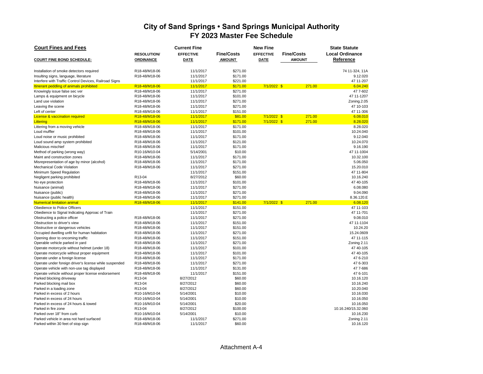| <b>Court Fines and Fees</b>                            |                    | <b>Current Fine</b> |                   |                  | <b>State Statute</b> |                        |  |  |  |
|--------------------------------------------------------|--------------------|---------------------|-------------------|------------------|----------------------|------------------------|--|--|--|
|                                                        | <b>RESOLUTION/</b> | <b>EFFECTIVE</b>    | <b>Fine/Costs</b> | <b>EFFECTIVE</b> | <b>Fine/Costs</b>    | <b>Local Ordinance</b> |  |  |  |
| <b>COURT FINE BOND SCHEDULE:</b>                       | <b>ORDINANCE</b>   | <b>DATE</b>         | <b>AMOUNT</b>     | <b>DATE</b>      | <b>AMOUNT</b>        | Reference              |  |  |  |
|                                                        |                    |                     |                   |                  |                      |                        |  |  |  |
| Installation of smoke detectors required               | R18-48/M18-06      | 11/1/2017           | \$271.00          |                  |                      | 74 11-324, 11A         |  |  |  |
| Insulting signs, language, literature                  | R18-48/M18-06      | 11/1/2017           | \$171.00          |                  |                      | 9.12.020               |  |  |  |
| Interfere with Traffic Control Devices, Railroad Signs |                    | 11/1/2017           | \$221.00          |                  |                      | 47 11-207              |  |  |  |
| Itinerant peddling of animals prohibited               | R18-48/M18-06      | 11/1/2017           | \$171.00          | $7/1/2022$ \$    | 271.00               | 6.04.240               |  |  |  |
| Knowingly issue false sec ver                          | R18-48/M18-06      | 11/1/2017           | \$271.00          |                  |                      | 47 7-602               |  |  |  |
| Lamps & equipment on bicycle                           | R18-48/M18-06      | 11/1/2017           | \$101.00          |                  |                      | 47 11-1207             |  |  |  |
| Land use violation                                     | R18-48/M18-06      | 11/1/2017           | \$271.00          |                  |                      | Zoning.2.05            |  |  |  |
| Leaving the scene                                      | R18-48/M18-06      | 11/1/2017           | \$271.00          |                  |                      | 47 10-103              |  |  |  |
| Left of center                                         | R18-48/M18-06      | 11/1/2017           | \$151.00          |                  |                      | 47 11-306              |  |  |  |
| <b>License &amp; vaccination required</b>              | R18-48/M18-06      | 11/1/2017           | \$81.00           | 7/1/2022 \$      | 271.00               | 6.08.010               |  |  |  |
| Littering                                              | R18-48/M18-06      | 11/1/2017           | \$171.00          | 7/1/2022 \$      | 271.00               | 8.28.020               |  |  |  |
| Littering from a moving vehicle                        | R18-48/M18-06      | 11/1/2017           | \$171.00          |                  |                      | 8.28.020               |  |  |  |
| Loud muffler                                           | R18-48/M18-06      | 11/1/2017           | \$101.00          |                  |                      | 10.24.040              |  |  |  |
| Loud noise or music prohibited                         | R18-48/M18-06      | 11/1/2017           | \$171.00          |                  |                      | 9.12.040               |  |  |  |
| Loud sound amp system prohibited                       | R18-48/M18-06      | 11/1/2017           | \$121.00          |                  |                      | 10.24.070              |  |  |  |
| Malicious mischief                                     | R18-48/M18-06      | 11/1/2017           | \$171.00          |                  |                      | 9.16.190               |  |  |  |
| Method of parking (wrong way)                          | R10-16/M10-04      | 5/14/2001           | \$10.00           |                  |                      | 47 11-1004             |  |  |  |
| Maint and construction zones                           | R18-48/M18-06      | 11/1/2017           | \$171.00          |                  |                      | 10.32.100              |  |  |  |
| Misrepresentation of age by minor (alcohol)            | R18-48/M18-06      | 11/1/2017           | \$171.00          |                  |                      | 5.06.050               |  |  |  |
| <b>Mechanical Code Violation</b>                       | R18-48/M18-06      | 11/1/2017           | \$271.00          |                  |                      | 15.20.010              |  |  |  |
| Minimum Speed Regulation                               |                    | 11/1/2017           | \$151.00          |                  |                      | 47 11-804              |  |  |  |
| Negligent parking prohibited                           | R13-04             | 8/27/2012           | \$60.00           |                  |                      | 10.16.240              |  |  |  |
| No eye protection                                      | R18-48/M18-06      | 11/1/2017           | \$101.00          |                  |                      | 47 40-105              |  |  |  |
| Nuisance (animal)                                      | R18-48/M18-06      | 11/1/2017           | \$271.00          |                  |                      | 6.08.080               |  |  |  |
| Nuisance (public)                                      | R18-48/M18-06      | 11/1/2017           | \$271.00          |                  |                      | 9.04.090               |  |  |  |
| Nuisance (public health)                               | R18-48/M18-06      | 11/1/2017           | \$271.00          |                  |                      | 8.36.120.E             |  |  |  |
| <b>Numerical limitation animal</b>                     | R18-48/M18-06      | 11/1/2017           | \$141.00          | $7/1/2022$ \$    | 271.00               | 6.08.120               |  |  |  |
| Obedience to Police Officers                           |                    | 11/1/2017           | \$151.00          |                  |                      | 47 11-103              |  |  |  |
| Obedience to Signal Indicating Approac of Train        |                    | 11/1/2017           | \$271.00          |                  |                      | 47 11-701              |  |  |  |
| Obstructing a police officer                           | R18-48/M18-06      | 11/1/2017           | \$271.00          |                  |                      | 9.08.010               |  |  |  |
| Obstruction to driver's view                           | R18-48/M18-06      | 11/1/2017           | \$151.00          |                  |                      | 47 11-1104             |  |  |  |
| Obstructive or dangerous vehicles                      | R18-48/M18-06      | 11/1/2017           | \$151.00          |                  |                      | 10.24.20               |  |  |  |
| Occupied dwelling unfit for human habitation           | R18-48/M18-06      | 11/1/2017           | \$271.00          |                  |                      | 15.24.0609             |  |  |  |
| Opening door to oncoming traffic                       | R18-48/M18-06      | 11/1/2017           | \$151.00          |                  |                      | 47 11-115              |  |  |  |
| Operable vehicle parked in yard                        | R18-48/M18-06      | 11/1/2017           | \$271.00          |                  |                      | Zoning 2.11            |  |  |  |
| Operate motorcycle without helmet (under 18)           | R18-48/M18-06      | 11/1/2017           | \$101.00          |                  |                      | 47 40-105              |  |  |  |
| Operate motorcycle without proper equipment            | R18-48/M18-06      | 11/1/2017           | \$101.00          |                  |                      | 47 40-105              |  |  |  |
| Operate under a foreign license                        | R18-48/M18-06      | 11/1/2017           | \$171.00          |                  |                      | 476--210               |  |  |  |
| Operate under foreign driver's license while suspended | R18-48/M18-06      | 11/1/2017           | \$271.00          |                  |                      | 47 6-303               |  |  |  |
| Operate vehicle with non-use tag displayed             | R18-48/M18-06      | 11/1/2017           | \$131.00          |                  |                      | 47 7-686               |  |  |  |
| Operate vehicle without proper license endorsement     | R18-48/M18-06      | 11/1/2017           | \$151.00          |                  |                      | 47 6-101               |  |  |  |
| Parked blocking driveway                               | R13-04             | 8/27/2012           | \$60.00           |                  |                      | 10.16.120              |  |  |  |
| Parked blocking mail box                               | R13-04             | 8/27/2012           | \$60.00           |                  |                      | 10.16.240              |  |  |  |
| Parked in a loading zone                               | R13-04             | 8/27/2012           | \$60.00           |                  |                      | 10.20.040              |  |  |  |
| Parked in excess of 2 hours                            | R10-16/M10-04      | 5/14/2001           | \$10.00           |                  |                      | 10.16.030              |  |  |  |
| Parked in excess of 24 hours                           | R10-16/M10-04      | 5/14/2001           | \$10.00           |                  |                      | 10.16.050              |  |  |  |
| Parked in excess of 24 hours & towed                   | R10-16/M10-04      | 5/14/2001           | \$20.00           |                  |                      | 10.16.050              |  |  |  |
| Parked in fire zone                                    | R13-04             | 8/27/2012           | \$100.00          |                  |                      | 10.16.240/15.32.060    |  |  |  |
| Parked over 18" from curb                              | R10-16/M10-04      | 5/14/2001           | \$10.00           |                  |                      | 10.16.230              |  |  |  |
| Parked vehicle in area not hard surfaced               | R18-48/M18-06      | 11/1/2017           | \$271.00          |                  |                      | Zoning 2.11            |  |  |  |
| Parked within 30 feet of stop sign                     | R18-48/M18-06      | 11/1/2017           | \$60.00           |                  |                      | 10.16.120              |  |  |  |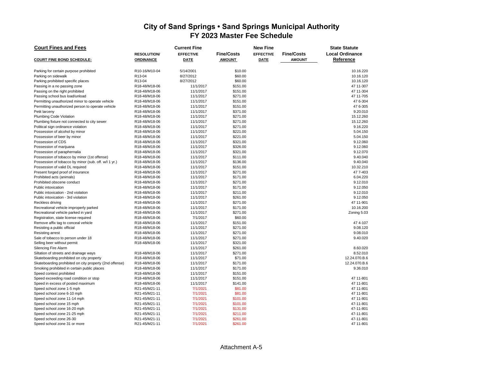| <b>Court Fines and Fees</b>                                    |                                | <b>Current Fine</b>    |                      | <b>New Fine</b>  | <b>State Statute</b> |                        |  |
|----------------------------------------------------------------|--------------------------------|------------------------|----------------------|------------------|----------------------|------------------------|--|
|                                                                | <b>RESOLUTION/</b>             | <b>EFFECTIVE</b>       | <b>Fine/Costs</b>    | <b>EFFECTIVE</b> | <b>Fine/Costs</b>    | <b>Local Ordinance</b> |  |
| <b>COURT FINE BOND SCHEDULE:</b>                               | <b>ORDINANCE</b>               | <b>DATE</b>            | <b>AMOUNT</b>        | <b>DATE</b>      | <b>AMOUNT</b>        | Reference              |  |
| Parking for certain purpose prohibited                         | R10-16/M10-04                  | 5/14/2001              | \$10.00              |                  |                      | 10.16.220              |  |
| Parking on sidewalk                                            | R <sub>13</sub> -04            | 8/27/2012              | \$60.00              |                  |                      | 10.16.120              |  |
| Parking prohibited specific places                             | R13-04                         | 8/27/2012              | \$60.00              |                  |                      | 10.16.120              |  |
| Passing in a no passing zone                                   | R18-48/M18-06                  | 11/1/2017              | \$151.00             |                  |                      | 47 11-307              |  |
| Passing on the right prohibited                                | R18-48/M18-06                  | 11/1/2017              | \$151.00             |                  |                      | 47 11-304              |  |
| Passing school bus load/unload                                 | R18-48/M18-06                  | 11/1/2017              | \$271.00             |                  |                      | 47 11-705              |  |
| Permitting unauthorized minor to operate vehicle               | R18-48/M18-06                  | 11/1/2017              | \$151.00             |                  |                      | 47 6-304               |  |
| Permitting unauthorized person to operate vehicle              | R18-48/M18-06                  | 11/1/2017              | \$151.00             |                  |                      | 47 6-305               |  |
| Petit larceny                                                  | R18-48/M18-06                  | 11/1/2017              | \$371.00             |                  |                      | 9.20.010               |  |
| Plumbing Code Violation                                        | R18-48/M18-06                  | 11/1/2017              | \$271.00             |                  |                      | 15.12.260              |  |
| Plumbing fixture not connected to city sewer                   | R18-48/M18-06                  | 11/1/2017              | \$271.00             |                  |                      | 15.12.260              |  |
| Political sign ordinance violation                             | R18-48/M18-06                  | 11/1/2017              | \$271.00             |                  |                      | 9.16.220               |  |
| Possession of alcohol by minor                                 | R18-48/M18-06                  | 11/1/2017              | \$221.00             |                  |                      | 5.04.150               |  |
| Possession of beer by minor                                    | R18-48/M18-06                  | 11/1/2017              | \$221.00             |                  |                      | 5.04.150               |  |
| Possession of CDS                                              | R18-48/M18-06                  | 11/1/2017              | \$321.00             |                  |                      | 9.12.060               |  |
| Possession of marijuana                                        | R18-48/M18-06                  | 11/1/2017              | \$326.00             |                  |                      | 9.12.060               |  |
| Possession of paraphernalia                                    | R18-48/M18-06                  | 11/1/2017              | \$321.00             |                  |                      | 9.12.070               |  |
| Possession of tobacco by minor (1st offense)                   | R18-48/M18-06                  | 11/1/2017              | \$111.00             |                  |                      | 9.40.040               |  |
| Possession of tobacco by minor (sub. off. w/l 1 yr.)           | R18-48/M18-06                  | 11/1/2017              | \$136.00             |                  |                      | 9.40.040               |  |
| Possession of valid DL required                                | R18-48/M18-06                  | 11/1/2017              | \$151.00             |                  |                      | 10.32.210              |  |
| Present forged proof of insurance                              | R18-48/M18-06                  | 11/1/2017              | \$271.00             |                  |                      | 47 7-403               |  |
| Prohibited acts (animals)                                      | R18-48/M18-06                  | 11/1/2017              | \$171.00             |                  |                      | 6.04.220               |  |
| Prohibited obscene conduct                                     | R18-48/M18-06                  | 11/1/2017              | \$271.00             |                  |                      | 9.12.010               |  |
| Public intoxication                                            | R18-48/M18-06                  | 11/1/2017              | \$171.00             |                  |                      | 9.12.050               |  |
| Public intoxication - 2nd violation                            | R18-48/M18-06                  | 11/1/2017              | \$211.00             |                  |                      | 9.12.010               |  |
| Public intoxication - 3rd violation                            | R18-48/M18-06                  | 11/1/2017              | \$261.00             |                  |                      | 9.12.050               |  |
| Reckless driving                                               | R18-48/M18-06                  | 11/1/2017              | \$271.00             |                  |                      | 47 11-901              |  |
| Recreational vehicle improperly parked                         | R18-48/M18-06                  | 11/1/2017              | \$171.00             |                  |                      | 10.16.200              |  |
| Recreational vehicle parked in yard                            | R18-48/M18-06                  | 11/1/2017              | \$271.00             |                  |                      | Zoning 5.03            |  |
| Registration, state license required                           | R18-48/M18-06                  | 7/1/2017               | \$60.00              |                  |                      |                        |  |
| Remove affix tag to conceal vehicle                            | R18-48/M18-06                  | 11/1/2017              | \$151.00             |                  |                      | 474--107               |  |
| Resisting a public official                                    | R18-48/M18-06                  | 11/1/2017              | \$271.00             |                  |                      | 9.08.120               |  |
| <b>Resisting arrest</b>                                        | R18-48/M18-06                  | 11/1/2017              | \$271.00             |                  |                      | 9.08.010               |  |
| Sale of tobacco to person under 18                             | R18-48/M18-06                  | 11/1/2017              | \$271.00             |                  |                      | 9.40.020               |  |
| Selling beer without permit                                    | R18-48/M18-06                  | 11/1/2017              | \$321.00             |                  |                      |                        |  |
| <b>Silencing Fire Alarm</b>                                    |                                | 11/1/2017              | \$261.00             |                  |                      | 8.60.020               |  |
| Siltation of streets and drainage ways                         | R18-48/M18-06                  | 11/1/2017              | \$271.00             |                  |                      | 8.52.010               |  |
| Skateboarding prohibited on city property                      | R18-48/M18-06                  | 11/1/2017              | \$71.00              |                  |                      | 12.24.070.B.6          |  |
| Skateboarding prohibited on city property (2nd offense)        | R18-48/M18-06                  | 11/1/2017              | \$171.00             |                  |                      | 12.24.070.B.6          |  |
| Smoking prohibited in certain public places                    |                                | 11/1/2017              | \$171.00             |                  |                      | 9.36.010               |  |
|                                                                | R18-48/M18-06                  |                        |                      |                  |                      |                        |  |
| Speed contest prohibited                                       | R18-48/M18-06<br>R18-48/M18-06 | 11/1/2017<br>11/1/2017 | \$151.00<br>\$151.00 |                  |                      | 47 11-801              |  |
| Speed exceeding road condition or stop                         |                                |                        |                      |                  |                      | 47 11-801              |  |
| Speed in excess of posted maximum<br>Speed school zone 1-5 mph | R18-48/M18-06<br>R21-45/M21-11 | 11/1/2017<br>7/1/2021  | \$141.00<br>\$81.00  |                  |                      | 47 11-801              |  |
|                                                                |                                | 7/1/2021               | \$81.00              |                  |                      |                        |  |
| Speed school zone 6-10 mph<br>Speed school zone 11-14 mph      | R21-45/M21-11<br>R21-45/M21-11 | 7/1/2021               |                      |                  |                      | 47 11-801<br>47 11-801 |  |
|                                                                | R21-45/M21-11                  | 7/1/2021               | \$101.00<br>\$101.00 |                  |                      | 47-11-801              |  |
| Speed school zone 15 mph                                       |                                | 7/1/2021               |                      |                  |                      |                        |  |
| Speed school zone 16-20 mph<br>Speed school zone 21-25 mph     | R21-45/M21-11<br>R21-45/M21-11 | 7/1/2021               | \$131.00<br>\$211.00 |                  |                      | 47-11-801<br>47-11-801 |  |
| Speed school zone 26-30                                        | R21-45/M21-11                  | 7/1/2021               | \$261.00             |                  |                      | 47-11-801              |  |
| Speed school zone 31 or more                                   | R21-45/M21-11                  | 7/1/2021               | \$261.00             |                  |                      | 47 11-801              |  |
|                                                                |                                |                        |                      |                  |                      |                        |  |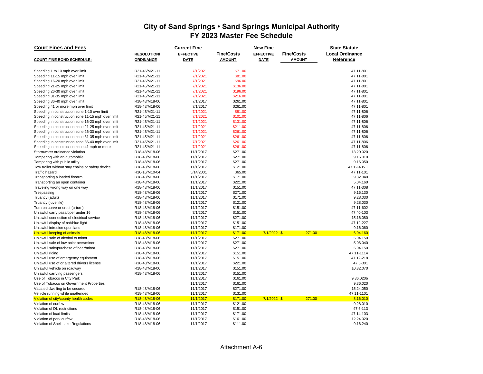| <b>Court Fines and Fees</b>                        |                   | <b>Current Fine</b> |                   | <b>State Statute</b> |                   |                        |  |
|----------------------------------------------------|-------------------|---------------------|-------------------|----------------------|-------------------|------------------------|--|
|                                                    | <b>RESOLUTION</b> | <b>EFFECTIVE</b>    | <b>Fine/Costs</b> | <b>EFFECTIVE</b>     | <b>Fine/Costs</b> | <b>Local Ordinance</b> |  |
| <b>COURT FINE BOND SCHEDULE:</b>                   | <b>ORDINANCE</b>  | <b>DATE</b>         | <b>AMOUNT</b>     | <b>DATE</b>          | <b>AMOUNT</b>     | Reference              |  |
|                                                    |                   |                     |                   |                      |                   |                        |  |
| Speeding 1 to 10 mph over limit                    | R21-45/M21-11     | 7/1/2021            | \$71.00           |                      |                   | 47 11-801              |  |
| Speeding 11-15 mph over limit                      | R21-45/M21-11     | 7/1/2021            | \$81.00           |                      |                   | 47 11-801              |  |
| Speeding 16-20 mph over limit                      | R21-45/M21-11     | 7/1/2021            | \$96.00           |                      |                   | 47 11-801              |  |
| Speeding 21-25 mph over limit                      | R21-45/M21-11     | 7/1/2021            | \$136.00          |                      |                   | 47 11-801              |  |
| Speeding 26-30 mph over limit                      | R21-45/M21-11     | 7/1/2021            | \$196.00          |                      |                   | 47 11-801              |  |
| Speeding 31-35 mph over limit                      | R21-45/M21-11     | 7/1/2021            | \$216.00          |                      |                   | 47 11-801              |  |
| Speeding 36-40 mph over limit                      | R18-48/M18-06     | 7/1/2017            | \$261.00          |                      |                   | 47 11-801              |  |
| Speeding 41 or more mph over limit                 | R18-48/M18-06     | 7/1/2017            | \$261.00          |                      |                   | 47 11-801              |  |
| Speeding in construction zone 1-10 over limit      | R21-45/M21-11     | 7/1/2021            | \$81.00           |                      |                   | 47 11-806              |  |
| Speeding in construction zone 11-15 mph over limit | R21-45/M21-11     | 7/1/2021            | \$101.00          |                      |                   | 47 11-806              |  |
| Speeding in construction zone 16-20 mph over limit | R21-45/M21-11     | 7/1/2021            | \$131.00          |                      |                   | 47 11-806              |  |
| Speeding in construction zone 21-25 mph over limit | R21-45/M21-11     | 7/1/2021            | \$211.00          |                      |                   | 47 11-806              |  |
| Speeding in construction zone 26-30 mph over limit | R21-45/M21-11     | 7/1/2021            | \$261.00          |                      |                   | 47 11-806              |  |
| Speeding in construction zone 31-35 mph over limit | R21-45/M21-11     | 7/1/2021            | \$261.00          |                      |                   | 47 11-806              |  |
| Speeding in construction zone 36-40 mph over limit | R21-45/M21-11     | 7/1/2021            | \$261.00          |                      |                   | 47 11-806              |  |
| Speeding in construction zone 41 mph or more       | R21-45/M21-11     | 7/1/2021            | \$261.00          |                      |                   | 47 11-806              |  |
| Stormwater ordinance violation                     | R18-48/M18-06     | 11/1/2017           | \$271.00          |                      |                   | 13.20.020              |  |
| Tampering with an automobile                       | R18-48/M18-06     | 11/1/2017           | \$271.00          |                      |                   | 9.16.010               |  |
| Tampering with public utility                      | R18-48/M18-06     | 11/1/2017           | \$271.00          |                      |                   | 9.16.050               |  |
| Tow trailer without stay chains or safety device   | R18-48/M18-06     | 11/1/2017           | \$121.00          |                      |                   | 47 12-405.1            |  |
| <b>Traffic hazard</b>                              | R10-16/M10-04     | 5/14/2001           | \$65.00           |                      |                   | 47 11-101              |  |
| Transporting a loaded firearm                      | R18-48/M18-06     | 11/1/2017           | \$171.00          |                      |                   | 9.32.040               |  |
| Transporting an open container                     | R18-48/M18-06     | 11/1/2017           | \$221.00          |                      |                   | 5.04.160               |  |
| Traveling wrong way on one way                     | R18-48/M18-06     | 11/1/2017           | \$151.00          |                      |                   | 47 11-308              |  |
| Trespassing                                        | R18-48/M18-06     | 11/1/2017           | \$271.00          |                      |                   | 9.16.130               |  |
| Truancy (adult)                                    | R18-48/M18-06     | 11/1/2017           | \$171.00          |                      |                   | 9.28.030               |  |
| Truancy (juvenile)                                 | R18-48/M18-06     | 11/1/2017           | \$121.00          |                      |                   | 9.28.030               |  |
| Turn on curve or crest (u-turn)                    | R18-48/M18-06     | 11/1/2017           | \$151.00          |                      |                   | 47 11-602              |  |
| Unlawful carry pass/oper under 16                  | R18-48/M18-06     | 7/1/2017            | \$151.00          |                      |                   | 47 40-103              |  |
| Unlawful connection of electrical service          | R18-48/M18-06     | 11/1/2017           | \$271.00          |                      |                   | 15.16.080              |  |
| Unlawful display of red/blue light                 | R18-48/M18-06     | 11/1/2017           | \$151.00          |                      |                   | 47 12-227              |  |
| Unlawful intrusion upon land                       | R18-48/M18-06     | 11/1/2017           | \$171.00          |                      |                   | 9.16.060               |  |
| <b>Unlawful keeping of animals</b>                 | R18-48/M18-06     | 11/1/2017           | \$171.00          | 7/1/2022 \$          | 271.00            | 6.04.160               |  |
| Unlawful sale of alcohol to minor                  | R18-48/M18-06     | 11/1/2017           | \$271.00          |                      |                   | 5.04.150               |  |
| Unlawful sale of low point beer/minor              | R18-48/M18-06     | 11/1/2017           | \$271.00          |                      |                   | 5.06.040               |  |
| Unlawful sale/purchase of beer/minor               | R18-48/M18-06     | 11/1/2017           | \$271.00          |                      |                   | 5.04.150               |  |
| Unlawful riding                                    | R18-48/M18-06     | 11/1/2017           | \$151.00          |                      |                   | 47 11-1114             |  |
| Unlawful use of emergency equipment                | R18-48/M18-06     | 11/1/2017           | \$151.00          |                      |                   | 47 12-218              |  |
| Unlawful use of or altered drivers license         | R18-48/M18-06     | 11/1/2017           | \$221.00          |                      |                   | 47 6-301               |  |
| Unlawful vehicle on roadway                        | R18-48/M18-06     | 11/1/2017           | \$151.00          |                      |                   | 10.32.070              |  |
| Unlawful carrying passengers                       | R18-48/M18-06     | 11/1/2017           | \$151.00          |                      |                   |                        |  |
| Use of Tobacco in City Park                        |                   | 11/1/2017           | \$161.00          |                      |                   | 9.36.020b              |  |
| Use of Tobacco on Government Properties            |                   | 11/1/2017           | \$161.00          |                      |                   | 9.36.020               |  |
| Vacated dwelling to be secured                     | R18-48/M18-06     | 11/1/2017           | \$271.00          |                      |                   | 15.24.050              |  |
| Vehicle running while unattended                   | R18-48/M18-06     | 11/1/2017           | \$131.00          |                      |                   | 47 11-1101             |  |
| Violation of city/county health codes              | R18-48/M18-06     | 11/1/2017           | \$171.00          | 7/1/2022 \$          | 271.00            | 8.16.010               |  |
| Violation of curfew                                | R18-48/M18-06     | 11/1/2017           | \$121.00          |                      |                   | 9.28.010               |  |
| Violation of DL restrictions                       | R18-48/M18-06     | 11/1/2017           | \$151.00          |                      |                   | 476-113                |  |
| Violation of load limits                           | R18-48/M18-06     | 11/1/2017           | \$171.00          |                      |                   | 47 14-103              |  |
| Violation of park curfew                           | R18-48/M18-06     | 11/1/2017           | \$161.00          |                      |                   | 12.24.020              |  |
| Violation of Shell Lake Regulations                | R18-48/M18-06     | 11/1/2017           | \$111.00          |                      |                   | 9.16.240               |  |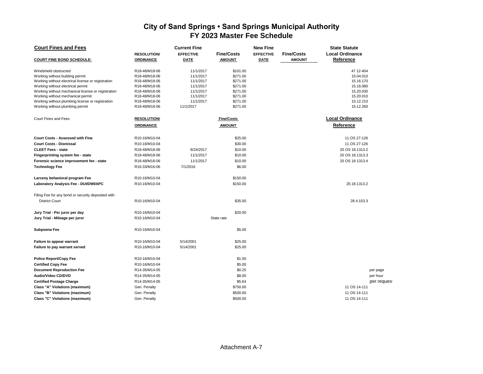| <b>Court Fines and Fees</b>                        |                    | <b>Current Fine</b> |                   | <b>New Fine</b><br><b>State Statute</b> |                   |                        |             |  |
|----------------------------------------------------|--------------------|---------------------|-------------------|-----------------------------------------|-------------------|------------------------|-------------|--|
|                                                    | <b>RESOLUTION/</b> | <b>EFFECTIVE</b>    | <b>Fine/Costs</b> | <b>EFFECTIVE</b>                        | <b>Fine/Costs</b> | <b>Local Ordinance</b> |             |  |
| <b>COURT FINE BOND SCHEDULE:</b>                   | <b>ORDINANCE</b>   | <b>DATE</b>         | <b>AMOUNT</b>     | <b>DATE</b>                             | <b>AMOUNT</b>     | Reference              |             |  |
| Windshield obstructed                              | R18-48/M18-06      | 11/1/2017           | \$101.00          |                                         |                   | 47 12-404              |             |  |
| Working without building permit                    | R18-48/M18-06      | 11/1/2017           | \$271.00          |                                         |                   | 15.04.010              |             |  |
| Working without electrical license or registration | R18-48/M18-06      | 11/1/2017           | \$271.00          |                                         |                   | 15.16.170              |             |  |
| Working without electrical permit                  | R18-48/M18-06      | 11/1/2017           | \$271.00          |                                         |                   | 15.16.080              |             |  |
| Working without mechanical license or registration | R18-48/M18-06      | 11/1/2017           | \$271.00          |                                         |                   | 15.20.030              |             |  |
| Working without mechanical permit                  | R18-48/M18-06      | 11/1/2017           | \$271.00          |                                         |                   | 15.20.010              |             |  |
| Working without plumbing license or registration   | R18-48/M18-06      | 11/1/2017           | \$271.00          |                                         |                   | 15.12.210              |             |  |
| Working without plumbing permit                    | R18-48/M18-06      | 11/1/2017           | \$271.00          |                                         |                   | 15.12.260              |             |  |
| Court Fines and Fees                               | <b>RESOLUTION</b>  |                     | <b>Fine/Costs</b> |                                         |                   | <b>Local Ordinance</b> |             |  |
|                                                    | <b>ORDINANCE</b>   |                     | <b>AMOUNT</b>     |                                         |                   | Reference              |             |  |
| <b>Court Costs - Assessed with Fine</b>            | R10-16/M10-04      |                     | \$25.00           |                                         |                   | 11.OS 27-126           |             |  |
| <b>Court Costs - Dismissal</b>                     | R10-16/M10-04      |                     | \$30.00           |                                         |                   | 11.OS 27-126           |             |  |
| <b>CLEET Fees - state</b>                          | R18-48/M18-06      | 8/24/2017           | \$10.00           |                                         |                   | 20 OS 18.1313.2        |             |  |
| Fingerprinting system fee - state                  | R18-48/M18-06      | 11/1/2017           | \$10.00           |                                         |                   | 20 OS 18.1313.3        |             |  |
| Forensic science improvement fee - state           | R18-48/M18-06      | 11/1/2017           | \$10.00           |                                         |                   | 20 OS 18 1313.4        |             |  |
| <b>Technology Fee</b>                              | R16-33/M16-06      | 7/1/2016            | \$6.00            |                                         |                   |                        |             |  |
| Larceny behavioral program Fee                     | R10-16/M10-04      |                     | \$150.00          |                                         |                   |                        |             |  |
| Laboratory Analysis Fee - DUI/DWI/APC              | R10-16/M10-04      |                     | \$150.00          |                                         |                   | 20.18.1313.2           |             |  |
| Filing Fee for any bond or security deposited with |                    |                     |                   |                                         |                   |                        |             |  |
| <b>District Court</b>                              | R10-16/M10-04      |                     | \$35.00           |                                         |                   | 28.4.153.3             |             |  |
| Jury Trial - Per juror per day                     | R10-16/M10-04      |                     | \$20.00           |                                         |                   |                        |             |  |
| Jury Trial - Mileage per juror                     | R10-16/M10-04      |                     | State rate        |                                         |                   |                        |             |  |
| Subpoena Fee                                       | R10-16/M10-04      |                     | \$5.00            |                                         |                   |                        |             |  |
| Failure to appear warrant                          | R10-16/M10-04      | 5/14/2001           | \$25.00           |                                         |                   |                        |             |  |
| Failure to pay warrant served                      | R10-16/M10-04      | 5/14/2001           | \$25.00           |                                         |                   |                        |             |  |
| <b>Police Report/Copy Fee</b>                      | R10-16/M10-04      |                     | \$1.50            |                                         |                   |                        |             |  |
| <b>Certified Copy Fee</b>                          | R10-16/M10-04      |                     | \$5.00            |                                         |                   |                        |             |  |
| <b>Document Reproduction Fee</b>                   | R14-35/M14-05      |                     | \$0.25            |                                         |                   |                        | per page    |  |
| Audio/Video CD/DVD                                 | R14-35/M14-05      |                     | \$8.00            |                                         |                   |                        | per hour    |  |
| <b>Certified Postage Charge</b>                    | R14-35/M14-05      |                     | \$5.64            |                                         |                   |                        | per request |  |
| Class "A" Violations (maximum)                     | Gen. Penalty       |                     | \$750.00          |                                         |                   | 11 OS 14-111           |             |  |
| Class "B" Violations (maximum)                     | Gen. Penalty       |                     | \$500.00          |                                         |                   | 11 OS 14-111           |             |  |
| Class "C" Violations (maximum)                     | Gen. Penalty       |                     | \$500.00          |                                         |                   | 11 OS 14-111           |             |  |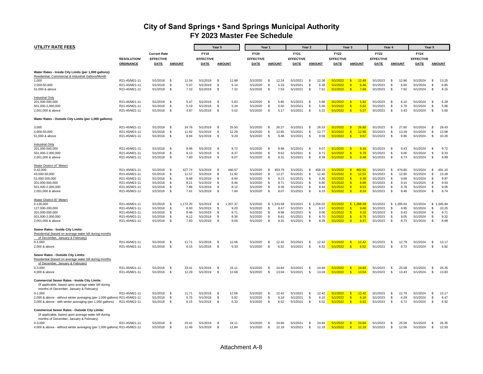| <b>UTILITY RATE FEES</b>                                                                                                                               |                                |                      |                                |                      | Year 5               |                  |                      | Year 1         |                    |                      | Year <sub>2</sub> |                  |                      | Year 3                     |                    |                      | Year 4                   |                    |                      | Year 5               |                   |
|--------------------------------------------------------------------------------------------------------------------------------------------------------|--------------------------------|----------------------|--------------------------------|----------------------|----------------------|------------------|----------------------|----------------|--------------------|----------------------|-------------------|------------------|----------------------|----------------------------|--------------------|----------------------|--------------------------|--------------------|----------------------|----------------------|-------------------|
|                                                                                                                                                        |                                | <b>Current Rate</b>  |                                | <b>FY19</b>          |                      |                  | <b>FY20</b>          |                |                    | <b>FY21</b>          |                   |                  | <b>FY22</b>          |                            |                    | <b>FY23</b>          |                          |                    | <b>FY24</b>          |                      |                   |
|                                                                                                                                                        | <b>RESOLUTION/</b>             | <b>EFFECTIVE</b>     |                                | <b>EFFECTIVE</b>     |                      |                  | <b>EFFECTIVE</b>     |                |                    | <b>EFFECTIVE</b>     |                   |                  | <b>EFFECTIVE</b>     |                            |                    | <b>EFFECTIVE</b>     |                          |                    | <b>EFFECTIVE</b>     |                      |                   |
|                                                                                                                                                        | <b>ORDINANCE</b>               | <b>DATE</b>          | <b>AMOUNT</b>                  | DATE                 |                      | <b>AMOUNT</b>    | <b>DATE</b>          |                | <b>AMOUNT</b>      | DATE                 |                   | <b>AMOUNT</b>    | DATE                 |                            | <b>AMOUNT</b>      | <b>DATE</b>          |                          | <b>AMOUNT</b>      | DATE                 |                      | <b>AMOUNT</b>     |
| Water Rates - Inside City Limits (per 1,000 gallons):<br>Residential, Commercial & Industrial Gallons/Month                                            |                                |                      |                                |                      |                      |                  |                      |                |                    |                      |                   |                  |                      |                            |                    |                      |                          |                    |                      |                      |                   |
| 1,000                                                                                                                                                  | R21-45/M21-11                  | 5/1/2018             | \$<br>11.54                    | 5/1/2019             | \$                   | 11.88            | 5/1/2020             | -S             | 12.24              | 5/1/2021             | \$                | 12.36            | 5/1/2022             | $\mathbf{s}$               | 12.49              | 5/1/2023             | \$                       | 12.86              | 5/1/2024             | \$                   | 13.25             |
| 2,000-50,000                                                                                                                                           | R21-45/M21-11                  | 5/1/2018             | 5.97<br>- \$                   | 5/1/2019             | -S                   | 6.14             | 5/1/2020             | \$             | 6.33               | 5/1/2021             | \$                | 6.39             | 5/1/2022             | $\sqrt{3}$                 | 6.46               | 5/1/2023             | \$                       | 6.65               | 5/1/2024             | \$                   | 6.85              |
| 51,000 & above                                                                                                                                         | R21-45/M21-11                  | 5/1/2018             | \$<br>7.10                     | 5/1/2019             | $\mathfrak{L}$       | 7.32             | 5/1/2020             | <b>S</b>       | 7.53               | 5/1/2021             | \$                | 7.61             | 5/1/2022             | $\mathbf{s}$               | 7.69               | 5/1/2023             | S.                       | 7.92               | 5/1/2024             | -S                   | 8.15              |
| <b>Industrial Only</b>                                                                                                                                 |                                |                      |                                |                      |                      |                  |                      |                |                    |                      |                   |                  |                      |                            |                    |                      |                          |                    |                      |                      |                   |
| 201,000-500,000                                                                                                                                        | R21-45/M21-11                  | 5/1/2018             | 5.47<br>- \$                   | 5/1/2019             | $\mathfrak{L}$       | 5.63             | 5/1/2020             | -S             | 5.80               | 5/1/2021             | Ŝ.                | 5.86             | 5/1/2022             | - \$                       | 5.92               | 5/1/2023             | -S.                      | 6.10               | 5/1/2024             | -S                   | 6.28              |
| 501,000-2,000,000                                                                                                                                      | R21-45/M21-11                  | 5/1/2018             | -\$<br>5.19                    | 5/1/2019             | -S                   | 5.34             | 5/1/2020             | \$             | 5.50               | 5/1/2021             | \$                | 5.56             | 5/1/2022             | $\sqrt{3}$                 | 5.62               | 5/1/2023             | \$                       | 5.78               | 5/1/2024             | \$                   | 5.96              |
| 2,001,000 & above                                                                                                                                      | R21-45/M21-11                  | 5/1/2018             | \$<br>4.87                     | 5/1/2019             | <b>S</b>             | 5.02             | 5/1/2020             | \$             | 5.17               | 5/1/2021             | \$                | 5.22             | 5/1/2022             | $\sqrt{3}$                 | 5.27               | 5/1/2023             | $\mathbf{s}$             | 5.43               | 5/1/2024             | \$                   | 5.60              |
| Water Rates - Outside City Limits (per 1,000 gallons):                                                                                                 |                                |                      |                                |                      |                      |                  |                      |                |                    |                      |                   |                  |                      |                            |                    |                      |                          |                    |                      |                      |                   |
| 3,000                                                                                                                                                  | R21-45/M21-11                  | 5/1/2018             | 24.76<br>- \$                  | 5/1/2019             | -\$                  | 25.50            | 5/1/2020             | \$             | 26.27              | 5/1/2021             | \$                | 26.53            | 5/1/2022             | $\sqrt{3}$                 | 26.80              | 5/1/2023             | \$                       | 27.60              | 5/1/2024             | \$                   | 28.43             |
| 4,000-50,000                                                                                                                                           | R21-45/M21-11                  | 5/1/2018             | -\$<br>11.92                   | 5/1/2019             | -\$                  | 12.28            | 5/1/2020             | \$             | 12.65              | 5/1/2021             | \$                | 12.77            | 5/1/2022             | $\sqrt{3}$                 | 12.90              | 5/1/2023             | \$                       | 13.29              | 5/1/2024             | \$                   | 13.68             |
| 51,000 & above                                                                                                                                         | R21-45/M21-11                  | 5/1/2018             | - \$<br>8.94                   | 5/1/2019             | \$                   | 9.20             | 5/1/2020             | - \$           | 9.48               | 5/1/2021             | \$                | 9.58             | 5/1/2022             | $\sqrt{3}$                 | 9.67               | 5/1/2023             | \$                       | 9.96               | 5/1/2024             | \$                   | 10.26             |
| Industrial Only                                                                                                                                        |                                |                      |                                |                      |                      |                  |                      |                |                    |                      |                   |                  |                      |                            |                    |                      |                          |                    |                      |                      |                   |
| 201,000-500,000                                                                                                                                        | R21-45/M21-11                  | 5/1/2018             | - \$<br>8.46                   | 5/1/2019             | -S                   | 8.72             | 5/1/2020             | -S             | 8.98               | 5/1/2021             | \$                | 9.07             | 5/1/2022             | $\mathbf{s}$               | 9.16               | 5/1/2023             | -S                       | 9.43               | 5/1/2024             | \$                   | 9.72              |
| 501,000-2,000,000                                                                                                                                      | R21-45/M21-11                  | 5/1/2018             | \$<br>8.13                     | 5/1/2019             | \$                   | 8.37             | 5/1/2020             | \$             | 8.62               | 5/1/2021             | \$                | 8.71             | 5/1/2022             | $\sqrt{3}$                 | 8.79               | 5/1/2023             | \$                       | 9.06               | 5/1/2024             | \$                   | 9.33              |
| 2,001,000 & above                                                                                                                                      | R21-45/M21-11                  | 5/1/2018             | -\$<br>7.83                    | 5/1/2019             | - \$                 | 8.07             | 5/1/2020             | -S             | 8.31               | 5/1/2021             | \$                | 8.39             | 5/1/2022             | $\sqrt{3}$                 | 8.48               | 5/1/2023             | \$                       | 8.73               | 5/1/2024             | \$                   | 8.99              |
| Water District (4" Meter)                                                                                                                              |                                |                      |                                |                      |                      |                  |                      |                |                    |                      |                   |                  |                      |                            |                    |                      |                          |                    |                      |                      |                   |
| $0 - 42,000$                                                                                                                                           | R21-45/M21-11                  | 5/1/2018             | <b>S</b><br>427.74             | 5/1/2019             | - \$                 | 440.57           | 5/1/2020             | \$             | 453.79             | 5/1/2021             | \$                | 458.33           | 5/1/2022             | $\sqrt{3}$                 | 462.91             | 5/1/2023             | \$                       | 476.80             | 5/1/2024             | \$                   | 491.10            |
| 43,000-50,000                                                                                                                                          | R21-45/M21-11                  | 5/1/2018             | \$<br>11.57                    | 5/1/2019             | \$                   | 11.92            | 5/1/2020             | S              | 12.27              | 5/1/2021             | \$                | 12.40            | 5/1/2022             | $\mathbf{s}$               | 12.52              | 5/1/2023             | \$                       | 12.90              | 5/1/2024             | \$                   | 13.28             |
| 51,000-200,000                                                                                                                                         | R21-45/M21-11                  | 5/1/2018             | \$<br>8.68                     | 5/1/2019             | -S                   | 8.94             | 5/1/2020             | S.             | 9.21               | 5/1/2021             | \$                | 9.30             | 5/1/2022             | $\sqrt{3}$                 | 9.39               | 5/1/2023             | -S                       | 9.68               | 5/1/2024             | - \$                 | 9.97              |
| 201,000-500,000                                                                                                                                        | R21-45/M21-11                  | 5/1/2018             | $\mathbb{S}$<br>8.21           | 5/1/2019             | \$                   | 8.46             | 5/1/2020             | \$             | 8.71               | 5/1/2021             | \$                | 8.80             | 5/1/2022             | $\sqrt{3}$                 | 8.89               | 5/1/2023             | \$                       | 9.15               | 5/1/2024             | \$                   | 9.43              |
| 501,000-2,000,000                                                                                                                                      | R21-45/M21-11                  | 5/1/2018             | -S<br>7.88                     | 5/1/2019             | $\mathfrak{L}$       | 8.12             | 5/1/2020             | \$             | 8.36               | 5/1/2021             | \$                | 8.44             | 5/1/2022             | $\sqrt{3}$                 | 8.53               | 5/1/2023             | \$                       | 8.78               | 5/1/2024             | -S                   | 9.05              |
| 2,001,000 & above                                                                                                                                      | R21-45/M21-11                  | 5/1/2018             | -\$<br>7.61                    | 5/1/2019             | - \$                 | 7.84             | 5/1/2020             | -S             | 8.07               | 5/1/2021             | \$                | 8.15             | 5/1/2022             | $\sqrt{3}$                 | 8.24               | 5/1/2023             | -S.                      | 8.48               | 5/1/2024             | -S                   | 8.74              |
| Water District (6" Meter)                                                                                                                              |                                |                      |                                |                      |                      |                  |                      |                |                    |                      |                   |                  |                      |                            |                    |                      |                          |                    |                      |                      |                   |
| 0-126,000<br>127,000-200,000                                                                                                                           | R21-45/M21-11<br>R21-45/M21-11 | 5/1/2018<br>5/1/2018 | - \$<br>1,172.20<br>\$<br>8.93 | 5/1/2019<br>5/1/2019 | \$<br>\$             | 1,207.37<br>9.20 | 5/1/2020<br>5/1/2020 | \$             | \$1,243.59<br>9.47 | 5/1/2021<br>5/1/2021 | \$<br>\$          | 1,256.02<br>9.57 | 5/1/2022<br>5/1/2022 | $\sqrt{3}$                 | \$1,268.58<br>9.66 | 5/1/2023<br>5/1/2023 | \$                       | \$1,306.64<br>9.95 | 5/1/2024<br>5/1/2024 | \$<br>\$             | 1,345.84<br>10.25 |
|                                                                                                                                                        |                                |                      | 8.46                           |                      | -S                   |                  |                      |                |                    |                      |                   |                  |                      | $\sqrt{3}$                 |                    |                      |                          |                    |                      |                      |                   |
| 201,000-500,000<br>501,000-2,000,000                                                                                                                   | R21-45/M21-11<br>R21-45/M21-11 | 5/1/2018<br>5/1/2018 | \$<br>-S<br>8.12               | 5/1/2019<br>5/1/2019 | $\mathfrak{L}$       | 8.71<br>8.36     | 5/1/2020<br>5/1/2020 | \$<br>\$.      | 8.98<br>8.61       | 5/1/2021<br>5/1/2021 | \$<br>S.          | 9.06<br>8.70     | 5/1/2022<br>5/1/2022 | $\mathbf{s}$               | 9.16<br>8.79       | 5/1/2023<br>5/1/2023 | \$<br>s.                 | 9.43<br>9.05       | 5/1/2024<br>5/1/2024 | \$<br>-S             | 9.71<br>9.32      |
|                                                                                                                                                        |                                |                      | -\$<br>7.83                    |                      | -S                   | 8.06             |                      | \$             | 8.31               |                      | Ŝ.                |                  |                      | $\sqrt{3}$                 |                    |                      | \$                       | 8.73               |                      | \$                   | 8.99              |
| 2,001,000 & above                                                                                                                                      | R21-45/M21-11                  | 5/1/2018             |                                | 5/1/2019             |                      |                  | 5/1/2020             |                |                    | 5/1/2021             |                   | 8.39             | 5/1/2022             |                            | 8.47               | 5/1/2023             |                          |                    | 5/1/2024             |                      |                   |
| Sewer Rates - Inside City Limits:<br>Residential (based on average water bill during months                                                            |                                |                      |                                |                      |                      |                  |                      |                |                    |                      |                   |                  |                      |                            |                    |                      |                          |                    |                      |                      |                   |
| of December, January & February)                                                                                                                       |                                |                      |                                |                      |                      |                  |                      |                |                    |                      |                   |                  |                      |                            |                    |                      |                          |                    |                      |                      |                   |
| $0-1,000$                                                                                                                                              | R21-45/M21-11                  | 5/1/2018             | - \$<br>11.71                  | 5/1/2019             | - \$                 | 12.06            | 5/1/2020             | £.             | 12.42              | 5/1/2021             | Ŝ.                | 12.42            | 5/1/2022             | -\$                        | 12.42              | 5/1/2023             | -\$                      | 12.79              | 5/1/2024             | \$                   | 13.17             |
| 2,000 & above                                                                                                                                          | R21-45/M21-11                  | 5/1/2018             | - \$<br>6.15                   | 5/1/2019             | \$                   | 6.33             | 5/1/2020             | - \$           | 6.52               | 5/1/2021             | \$                | 6.52             | 5/1/2022             | $\sqrt{3}$                 | 6.52               | 5/1/2023             | \$                       | 6.72               | 5/1/2024             | \$                   | 6.92              |
| Sewer Rates - Outside City Limits:<br>Residential (based on average water bill during months                                                           |                                |                      |                                |                      |                      |                  |                      |                |                    |                      |                   |                  |                      |                            |                    |                      |                          |                    |                      |                      |                   |
| of December, January & February)                                                                                                                       |                                |                      |                                |                      |                      |                  |                      |                |                    |                      |                   |                  |                      |                            |                    |                      |                          |                    |                      |                      |                   |
| $0 - 3,000$<br>4,000 & above                                                                                                                           | R21-45/M21-11<br>R21-45/M21-11 | 5/1/2018<br>5/1/2018 | - \$<br>23.41<br>-S<br>12.29   | 5/1/2019<br>5/1/2019 | -S<br>$\mathfrak{L}$ | 24.11<br>12.66   | 5/1/2020<br>5/1/2020 | \$<br><b>S</b> | 24.84<br>13.04     | 5/1/2021<br>5/1/2021 | \$<br>\$          | 24.84<br>13.04   | 5/1/2022<br>5/1/2022 | $\sqrt{3}$<br>$\sqrt{3}$   | 24.84<br>13.04     | 5/1/2023<br>5/1/2023 | -S<br>s.                 | 25.58<br>13.43     | 5/1/2024<br>5/1/2024 | \$<br>-S             | 26.35<br>13.83    |
| <b>Commercial Sewer Rates - Inside City Limits:</b><br>(If applicable, based upon average water bill during<br>months of December, January & February) |                                |                      |                                |                      |                      |                  |                      |                |                    |                      |                   |                  |                      |                            |                    |                      |                          |                    |                      |                      |                   |
| $0-1,000$                                                                                                                                              | R21-45/M21-11                  | 5/1/2018             | <b>S</b><br>11.71              | 5/1/2019             | \$                   | 12.06            | 5/1/2020             | \$             | 12.42              | 5/1/2021             | \$                | 12.42            | 5/1/2022             | $\sqrt{3}$                 | 12.42              | 5/1/2023             | \$                       | 12.79              | 5/1/2024             | \$                   | 13.17             |
| 2,000 & above - without winter averaging (per 1,000 gallons) R21-45/M21-11                                                                             |                                | 5/1/2018             | \$<br>5.75                     | 5/1/2019             | $\mathfrak{L}$       | 5.92             | 5/1/2020             | \$             | 6.10               | 5/1/2021             | \$                | 6.10             | 5/1/2022             | $\sqrt{3}$                 | 6.10               | 5/1/2023             | \$                       | 6.28               | 5/1/2024             | \$                   | 6.47              |
| 2,000 & above - with winter averaging (per 1,000 gallons)                                                                                              | R21-45/M21-11                  | 5/1/2018             | -\$<br>6.15                    | 5/1/2019             | -S                   | 6.33             | 5/1/2020             | -S             | 6.52               | 5/1/2021             | \$                | 6.52             | 5/1/2022             | $\sqrt{3}$                 | 6.52               | 5/1/2023             | \$                       | 6.72               | 5/1/2024             | \$                   | 6.92              |
| Commerical Sewer Rates - Outside City Limits:<br>(If applicable, based upon average water bill during<br>months of December, January & February)       |                                |                      |                                |                      |                      |                  |                      |                |                    |                      |                   |                  |                      |                            |                    |                      |                          |                    |                      |                      |                   |
| $0-3,000$<br>4,000 & above - without winter averaging (per 1,000 gallons) R21-45/M21-11                                                                | R21-45/M21-11                  | 5/1/2018<br>5/1/2018 | 23.41<br>- \$<br>11 49<br>- \$ | 5/1/2019<br>5/1/2019 | -S<br>- \$           | 24.11<br>11.84   | 5/1/2020<br>5/1/2020 | \$<br><b>S</b> | 24.84<br>12.19     | 5/1/2021<br>5/1/2021 | \$<br>\$          | 24.84<br>12.19   | 5/1/2022<br>5/1/2022 | $\sqrt{3}$<br>$\mathbf{S}$ | 24.84<br>12.19     | 5/1/2023<br>5/1/2023 | \$<br>$\mathbf{\hat{s}}$ | 25.58<br>12.56     | 5/1/2024<br>5/1/2024 | \$<br>$\mathfrak{L}$ | 26.35<br>12.93    |
|                                                                                                                                                        |                                |                      |                                |                      |                      |                  |                      |                |                    |                      |                   |                  |                      |                            |                    |                      |                          |                    |                      |                      |                   |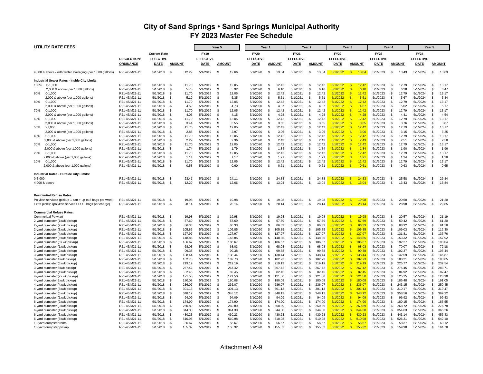| UTILITY RATE FEES                                               |                                |                      |                                       |                      | Year 5             |                  |                      | Year 1       |                  |                      | Year 2        |                  | Year 3               |                                                  | Year 4               |                     |                  |                      | Year 5                   |                  |
|-----------------------------------------------------------------|--------------------------------|----------------------|---------------------------------------|----------------------|--------------------|------------------|----------------------|--------------|------------------|----------------------|---------------|------------------|----------------------|--------------------------------------------------|----------------------|---------------------|------------------|----------------------|--------------------------|------------------|
|                                                                 |                                | <b>Current Rate</b>  |                                       | <b>FY19</b>          |                    |                  | <b>FY20</b>          |              |                  | <b>FY21</b>          |               |                  | <b>FY22</b>          |                                                  | <b>FY23</b>          |                     |                  | <b>FY24</b>          |                          |                  |
|                                                                 | <b>RESOLUTION/</b>             | <b>EFFECTIVE</b>     |                                       | <b>EFFECTIVE</b>     |                    |                  | <b>EFFECTIVE</b>     |              |                  | <b>EFFECTIVE</b>     |               |                  | <b>EFFECTIVE</b>     |                                                  | <b>EFFECTIVE</b>     |                     |                  | <b>EFFECTIVE</b>     |                          |                  |
|                                                                 | <b>ORDINANCE</b>               | <b>DATE</b>          | <b>AMOUNT</b>                         | <b>DATE</b>          |                    | <b>AMOUNT</b>    | <b>DATE</b>          |              | <b>AMOUNT</b>    | <b>DATE</b>          |               | <b>AMOUNT</b>    | DATE                 | <b>AMOUNT</b>                                    | DATE                 |                     | <b>AMOUNT</b>    | DATE                 |                          | <b>AMOUNT</b>    |
| 4,000 & above - with winter averaging (per 1,000 gallons)       | R21-45/M21-11                  | 5/1/2018             | 12.29<br>- \$                         | 5/1/2019             | - \$               | 12.66            | 5/1/2020             | S            | 13.04            | 5/1/2021             | \$            | 13.04            | 5/1/2022             | $\sqrt{3}$<br>13.04                              | 5/1/2023             | \$                  | 13.43            | 5/1/2024             | \$                       | 13.83            |
|                                                                 |                                |                      |                                       |                      |                    |                  |                      |              |                  |                      |               |                  |                      |                                                  |                      |                     |                  |                      |                          |                  |
| <b>Industrial Sewer Rates - Inside City Limits:</b>             |                                |                      |                                       |                      |                    |                  |                      |              |                  |                      |               |                  |                      |                                                  |                      |                     |                  |                      |                          |                  |
| 100%<br>$0-1,000$                                               | R21-45/M21-11                  | 5/1/2018             | $\mathbf{s}$<br>11.70                 | 5/1/2019             | \$                 | 12.05            | 5/1/2020             | <b>S</b>     | 12.42            | 5/1/2021             | \$            | 12.42            | 5/1/2022             | $\mathsf{s}$<br>12.42<br>S                       | 5/1/2023             | $\mathfrak{L}$      | 12.79            | 5/1/2024             | $\mathbf{f}$<br>\$       | 13.1             |
| 2,000 & above (per 1,000 gallons)<br>$0 - 1.000$<br>90%         | R21-45/M21-11<br>R21-45/M21-11 | 5/1/2018<br>5/1/2018 | - \$<br>5.75<br>$\mathbf{s}$<br>11.70 | 5/1/2019<br>5/1/2019 | \$<br>- \$         | 5.92<br>12.05    | 5/1/2020<br>5/1/2020 | \$<br>-S     | 6.10<br>12.42    | 5/1/2021<br>5/1/2021 | \$<br>\$      | 6.10<br>12.42    | 5/1/2022<br>5/1/2022 | 6.10<br>$\mathbf{s}$<br>12.42                    | 5/1/2023<br>5/1/2023 | $\mathfrak s$<br>Ŝ. | 6.28<br>12.79    | 5/1/2024<br>5/1/2024 | $\mathfrak{L}$           | 6.47<br>13.17    |
| 2,000 & above (per 1,000 gallons)                               | R21-45/M21-11                  | 5/1/2018             | - \$<br>5.19                          | 5/1/2019             | - \$               | 5.35             | 5/1/2020             | £.           | 5.51             | 5/1/2021             | -\$           | 5.51             | 5/1/2022             | $\mathbf{s}$<br>5.51                             | 5/1/2023             | - \$                | 5.67             | 5/1/2024             | $\mathfrak{L}$           | 5.84             |
| 80%<br>$0-1,000$                                                | R21-45/M21-11                  | 5/1/2018             | - \$<br>11.70                         | 5/1/2019             | - \$               | 12.05            | 5/1/2020             | \$           | 12.42            | 5/1/2021             | \$            | 12.42            | 5/1/2022             | $\mathsf{s}$<br>12.42                            | 5/1/2023             | \$                  | 12.79            | 5/1/2024             | \$                       | 13.17            |
| 2,000 & above (per 1,000 gallons)                               | R21-45/M21-11                  | 5/1/2018             | - \$<br>4.59                          | 5/1/2019             | \$                 | 4.73             | 5/1/2020             | £.           | 4.87             | 5/1/2021             | \$            | 4.87             | 5/1/2022             | S<br>4.87                                        | 5/1/2023             | \$                  | 5.02             | 5/1/2024             | $\mathcal{R}$            | 5.1              |
| 70%<br>$0-1,000$                                                | R21-45/M21-11                  | 5/1/2018             | - \$<br>11.70                         | 5/1/2019             | -\$                | 12.05            | 5/1/2020             | - \$         | 12.42            | 5/1/2021             | -\$           | 12.42            | 5/1/2022             | $\mathbf{s}$<br>12.42                            | 5/1/2023             | \$                  | 12.79            | 5/1/2024             | \$                       | 13.1             |
| 2,000 & above (per 1,000 gallons)                               | R21-45/M21-11                  | 5/1/2018             | - \$<br>4.03                          | 5/1/2019             | - \$               | 4.15             | 5/1/2020             | - \$         | 4.28             | 5/1/2021             | \$            | 4.28             | 5/1/2022             | $\mathbf{s}$<br>4.28                             | 5/1/2023             | - \$                | 4.41             | 5/1/2024             | $\mathbf{\hat{s}}$       | 4.54             |
| 60%<br>$0-1,000$                                                | R21-45/M21-11                  | 5/1/2018             | -S<br>11.70                           | 5/1/2019             | - \$               | 12.05            | 5/1/2020             | \$           | 12.42            | 5/1/2021             | \$            | 12.42            | 5/1/2022             | $\mathsf{s}$<br>12.42                            | 5/1/2023             | \$                  | 12.79            | 5/1/2024             | \$                       | 13.17            |
| 2,000 & above (per 1,000 gallons)                               | R21-45/M21-11                  | 5/1/2018             | $\mathbf{s}$<br>3.44                  | 5/1/2019             | $\mathbf{\hat{s}}$ | 3.55             | 5/1/2020             | \$.          | 3.65             | 5/1/2021             | - \$          | 3.65             | 5/1/2022             | $\mathbf{s}$<br>3.65                             | 5/1/2023             | Ŝ.                  | 3.76             | 5/1/2024             | $\mathbf{f}$             | 3.87             |
| 50%<br>$0-1,000$                                                | R21-45/M21-11                  | 5/1/2018             | - \$<br>11.70                         | 5/1/2019             | -\$                | 12.05            | 5/1/2020             | - \$         | 12.42            | 5/1/2021             | \$            | 12.42            | 5/1/2022             | $\mathbf{s}$<br>12.42                            | 5/1/2023             | \$                  | 12.79            | 5/1/2024             | -S                       | 13.17            |
| 2,000 & above (per 1,000 gallons)                               | R21-45/M21-11                  | 5/1/2018             | -S<br>2.88                            | 5/1/2019             | \$                 | 2.97             | 5/1/2020             | \$           | 3.06             | 5/1/2021             | \$            | 3.06             | 5/1/2022             | $\mathbf{s}$<br>3.06<br>S                        | 5/1/2023             | \$                  | 3.15             | 5/1/2024             | $\mathbf{\hat{s}}$       | 3.25             |
| 40%<br>$0-1,000$<br>2,000 & above (per 1,000 gallons)           | R21-45/M21-11<br>R21-45/M21-11 | 5/1/2018<br>5/1/2018 | -S<br>11.70<br>$\mathbf{s}$<br>2.29   | 5/1/2019<br>5/1/2019 | -S<br>-\$          | 12.05<br>2.36    | 5/1/2020<br>5/1/2020 | S<br>£.      | 12.42<br>2.43    | 5/1/2021<br>5/1/2021 | \$<br>\$      | 12.42<br>2.43    | 5/1/2022<br>5/1/2022 | 12.42<br>$\mathbf{s}$<br>2.43                    | 5/1/2023<br>5/1/2023 | \$<br>- \$          | 12.79<br>2.51    | 5/1/2024<br>5/1/2024 | \$<br>$\mathbf{\hat{s}}$ | 13.17<br>2.58    |
| $0-1,000$<br>30%                                                | R21-45/M21-11                  | 5/1/2018             | - \$<br>11.70                         | 5/1/2019             | -\$                | 12.05            | 5/1/2020             | - \$         | 12.42            | 5/1/2021             | \$            | 12.42            | 5/1/2022             | $\mathbf{s}$<br>12.42                            | 5/1/2023             | \$                  | 12.79            | 5/1/2024             | $\mathfrak{L}$           | 13.1             |
| 2,000 & above (per 1,000 gallons)                               | R21-45/M21-11                  | 5/1/2018             | -S<br>1.74                            | 5/1/2019             | \$                 | 1.79             | 5/1/2020             | \$           | 1.84             | 5/1/2021             | \$            | 1.84             | 5/1/2022             | $\mathbf{s}$<br>1.84                             | 5/1/2023             | \$                  | 1.90             | 5/1/2024             | \$                       | 1.96             |
| 20%<br>$0-1,000$                                                | R21-45/M21-11                  | 5/1/2018             | -S<br>11.70                           | 5/1/2019             | - \$               | 12.05            | 5/1/2020             | - \$         | 12.42            | 5/1/2021             | \$            | 12.42            | 5/1/2022             | 12.42<br>$\mathsf{s}$                            | 5/1/2023             | - \$                | 12.79            | 5/1/2024             | \$                       | 13.17            |
| 2,000 & above (per 1,000 gallons)                               | R21-45/M21-11                  | 5/1/2018             | - \$<br>1.14                          | 5/1/2019             | - \$               | 1.17             | 5/1/2020             | £.           | 1.21             | 5/1/2021             | \$            | 1.21             | 5/1/2022             | $\mathbf{s}$<br>1.21                             | 5/1/2023             | Ŝ.                  | 1.24             | 5/1/2024             | $\mathbf{\hat{s}}$       | 1.28             |
| 10%<br>$0-1,000$                                                | R21-45/M21-11                  | 5/1/2018             | - \$<br>11.70                         | 5/1/2019             | \$                 | 12.05            | 5/1/2020             | - \$         | 12.42            | 5/1/2021             | \$            | 12.42            | 5/1/2022             | $\sqrt{3}$<br>12.42                              | 5/1/2023             | \$                  | 12.79            | 5/1/2024             | -S                       | 13.17            |
| 2,000 & above (per 1,000 gallons)                               | R21-45/M21-11                  | 5/1/2018             | - \$<br>0.58                          | 5/1/2019             | \$                 | 0.60             | 5/1/2020             | \$           | 0.61             | 5/1/2021             | -\$           | 0.61             | 5/1/2022             | $\sqrt{3}$<br>0.61                               | 5/1/2023             | \$                  | 0.63             | 5/1/2024             | \$                       | 0.65             |
| <b>Industrial Rates - Outside City Limits:</b>                  |                                |                      |                                       |                      |                    |                  |                      |              |                  |                      |               |                  |                      |                                                  |                      |                     |                  |                      |                          |                  |
| $0 - 3.000$                                                     | R21-45/M21-11                  | 5/1/2018             | 23.41<br>- \$                         | 5/1/2019             | - \$               | 24.11            | 5/1/2020             | - \$         | 24.83            | 5/1/2021             | <b>S</b>      | 24.83            | 5/1/2022             | $\mathbf{s}$<br>24.83                            | 5/1/2023             | - \$                | 25.58            | 5/1/2024             | $\mathbf{\hat{s}}$       | 26.34            |
| 4,000 & above                                                   | R21-45/M21-11                  | 5/1/2018             | - \$<br>12.29                         | 5/1/2019             | - \$               | 12.66            | 5/1/2020             | - \$         | 13.04            | 5/1/2021             | \$            | 13.04            | 5/1/2022             | $\sqrt{3}$<br>13.04                              | 5/1/2023             | \$                  | 13.43            | 5/1/2024             | \$                       | 13.84            |
| <b>Residential Refuse Rates:</b>                                |                                |                      |                                       |                      |                    |                  |                      |              |                  |                      |               |                  |                      |                                                  |                      |                     |                  |                      |                          |                  |
| Polykart serviuce (pickup 1 cart + up to 8 bags per week)       | R21-45/M21-11                  | 5/1/2018             | 19.98<br>- \$                         | 5/1/2019             | - \$               | 19.98            | 5/1/2020             | £.           | 19.98            | 5/1/2021             | \$            | 19.98            | 5/1/2022             | $\sqrt{3}$<br>19.98                              | 5/1/2023             | - \$                | 20.58            | 5/1/2024             | \$                       | 21.20            |
| Extra pickup (polykart service OR 10 bags per charge)           | R21-45/M21-11                  | 5/1/2018             | - \$<br>28.14                         | 5/1/2019             | $\mathcal{S}$      | 28.14            | 5/1/2020             | £.           | 28.14            | 5/1/2021             | \$            | 28.14            | 5/1/2022             | $\mathbf{s}$<br>28.14                            | 5/1/2023             | Ŝ.                  | 28.98            | 5/1/2024             | -S                       | 29.85            |
| <b>Commercial Refuse Rates:</b>                                 |                                |                      |                                       |                      |                    |                  |                      |              |                  |                      |               |                  |                      |                                                  |                      |                     |                  |                      |                          |                  |
| <b>Commerical Polykart</b>                                      | R21-45/M21-11                  | 5/1/2018             | <b>S</b><br>19.98                     | 5/1/2019             | $\mathcal{S}$      | 19.98            | 5/1/2020             | £.           | 19.98            | 5/1/2021             | \$            | 19.98            | 5/1/2022             | $\sqrt{3}$<br>19.98                              | 5/1/2023             | \$                  | 20.57            | 5/1/2024             | $\mathbf{R}$             | 21.19            |
| 2-yard dumpster (1xwk pickup)                                   | R21-45/M21-11                  | 5/1/2018             | - \$<br>57.69                         | 5/1/2019             | -\$                | 57.69            | 5/1/2020             | - \$         | 57.69            | 5/1/2021             | \$            | 57.69            | 5/1/2022             | $\sqrt{3}$<br>57.69                              | 5/1/2023             | \$                  | 59.42            | 5/1/2024             | \$                       | 61.20            |
| 2-yard dumpster (2xwk pickup)                                   | R21-45/M21-11                  | 5/1/2018             | 86.33<br>- \$                         | 5/1/2019             | - \$               | 86.33            | 5/1/2020             | £.           | 86.33            | 5/1/2021             | \$            | 86.33            | 5/1/2022             | $\mathbf{s}$<br>86.33                            | 5/1/2023             | S.                  | 88.92            | 5/1/2024             | $\mathbf{\hat{s}}$       | 91.58            |
| 2-yard dumpster (3xwk pickup)                                   | R21-45/M21-11                  | 5/1/2018             | 105.85<br>- S                         | 5/1/2019             | \$                 | 105.85           | 5/1/2020             | S            | 105.85           | 5/1/2021             | \$            | 105.85           | 5/1/2022             | $\mathsf{s}$<br>105.85                           | 5/1/2023             | \$                  | 109.03           | 5/1/2024             | \$                       | 112.30           |
| 2-yard dumpster (4xwk pickup)                                   | R21-45/M21-11                  | 5/1/2018             | - \$<br>127.97<br>- \$<br>148.85      | 5/1/2019<br>5/1/2019 | - \$<br>-\$        | 127.97<br>148.85 | 5/1/2020             | \$.<br>- \$  | 127.97<br>148.85 | 5/1/2021<br>5/1/2021 | - \$<br>\$    | 127.97<br>148.85 | 5/1/2022<br>5/1/2022 | S<br>127.97<br>$\mathsf{s}$<br>148.85            | 5/1/2023             | Ŝ.                  | 131.81<br>153.32 | 5/1/2024<br>5/1/2024 | $\mathbf{\hat{s}}$<br>\$ | 135.76<br>157.92 |
| 2-yard dumpster (5xwk pickup)<br>2-yard dumpster (6x wk pickup) | R21-45/M21-11<br>R21-45/M21-11 | 5/1/2018<br>5/1/2018 | - \$<br>186.67                        | 5/1/2019             | \$                 | 186.67           | 5/1/2020<br>5/1/2020 | \$           | 186.67           | 5/1/2021             | $\mathfrak s$ | 186.67           | 5/1/2022             | S<br>186.67                                      | 5/1/2023<br>5/1/2023 | \$<br>\$            | 192.27           | 5/1/2024             | \$                       | 198.04           |
| 3-yard dumpster (1xwk pickup)                                   | R21-45/M21-11                  | 5/1/2018             | - \$<br>68.03                         | 5/1/2019             | - \$               | 68.03            | 5/1/2020             | S            | 68.03            | 5/1/2021             | \$            | 68.03            | 5/1/2022             | S<br>68.03                                       | 5/1/2023             | - \$                | 70.07            | 5/1/2024             | \$                       | 72.18            |
| 3-yard dumpster (2xwk pickup)                                   | R21-45/M21-11                  | 5/1/2018             | - \$<br>99.38                         | 5/1/2019             | -\$                | 99.38            | 5/1/2020             | £.           | 99.38            | 5/1/2021             | \$            | 99.38            | 5/1/2022             | $\mathbf{s}$<br>99.38                            | 5/1/2023             | - \$                | 102.37           | 5/1/2024             | $\mathbf{\hat{s}}$       | 105.4            |
| 3-yard dumpster (3xwk pickup)                                   | R21-45/M21-11                  | 5/1/2018             | - \$<br>138.44                        | 5/1/2019             | -\$                | 138.44           | 5/1/2020             | £.           | 138.44           | 5/1/2021             | \$            | 138.44           | 5/1/2022             | $\mathbf{s}$<br>138.44                           | 5/1/2023             | \$                  | 142.59           | 5/1/2024             | $\mathfrak{L}$           | 146.8            |
| 3-yard dumpster 4xwk pickup)                                    | R21-45/M21-11                  | 5/1/2018             | -S<br>182.73                          | 5/1/2019             | - \$               | 182.73           | 5/1/2020             | \$           | 182.73           | 5/1/2021             | \$            | 182.73           | 5/1/2022             | $\sqrt{3}$<br>182.73                             | 5/1/2023             | \$                  | 188.21           | 5/1/2024             | \$                       | 193.8            |
| 3-yard dumpster (5xwk pickup)                                   | R21-45/M21-11                  | 5/1/2018             | $\mathbf{s}$<br>219 19                | 5/1/2019             | \$                 | 219 19           | 5/1/2020             | $\mathbf{R}$ | 219.19           | 5/1/2021             | \$            | 219.19           | 5/1/2022             | $\sqrt{3}$<br>219.19                             | 5/1/2023             | \$                  | 225.77           | 5/1/2024             | $\mathfrak{L}$           | 232.54           |
| 3-yard dumpster 6xwk pickup)                                    | R21-45/M21-11                  | 5/1/2018             | - S<br>267.42                         | 5/1/2019             | -\$                | 267.42           | 5/1/2020             | S            | 267.42           | 5/1/2021             | -\$           | 267.42           | 5/1/2022             | $\mathsf{s}$<br>267.42                           | 5/1/2023             | \$                  | 275.45           | 5/1/2024             | Ŝ.                       | 283.7            |
| 4-yard dumpster (1xwk pickup)                                   | R21-45/M21-11                  | 5/1/2018             | -S<br>82.45                           | 5/1/2019             | - \$               | 82.45            | 5/1/2020             | \$.          | 82.45            | 5/1/2021             | <b>S</b>      | 82.45            | 5/1/2022             | S<br>82.45                                       | 5/1/2023             | - \$                | 84.92            | 5/1/2024             | $\mathbf{\hat{s}}$       | 87.4             |
| 4-yard dumpster (2x wk pickup)                                  | R21-45/M21-11                  | 5/1/2018             | - \$<br>121.50                        | 5/1/2019             | \$                 | 121.50           | 5/1/2020             | \$           | 121.50           | 5/1/2021             | \$            | 121.50           | 5/1/2022             | $\sqrt{3}$<br>121.50                             | 5/1/2023             | \$                  | 125.15           | 5/1/2024             | \$                       | 128.90           |
| 4-yard dumpster 3xwk pickup)                                    | R21-45/M21-11                  | 5/1/2018             | - \$<br>180.08                        | 5/1/2019             | - \$               | 180.08           | 5/1/2020             | -S           | 180.08           | 5/1/2021             | - \$          | 180.08           | 5/1/2022             | $\mathbf{s}$<br>180.08                           | 5/1/2023             | \$                  | 185.48           | 5/1/2024             | $\mathbf{\hat{s}}$       | 191.05           |
| 4-yard dumpster (4xwk pickup)                                   | R21-45/M21-11<br>R21-45/M21-11 | 5/1/2018<br>5/1/2018 | - \$<br>236.07<br>-S<br>301.13        | 5/1/2019<br>5/1/2019 | - \$<br>\$         | 236.07<br>301.13 | 5/1/2020<br>5/1/2020 | S<br>S       | 236.07<br>301.13 | 5/1/2021<br>5/1/2021 | -\$<br>\$     | 236.07<br>301.13 | 5/1/2022<br>5/1/2022 | $\mathbf{s}$<br>236.07<br>$\mathsf{s}$<br>301.13 | 5/1/2023<br>5/1/2023 | \$<br>\$            | 243.15<br>310.17 | 5/1/2024<br>5/1/2024 | \$<br>\$                 | 250.45<br>319.4  |
| 4-yard dumpster (5xwk pickup)<br>4-yard dumpster (6xwk pickup)  | R21-45/M21-11                  | 5/1/2018             | - \$<br>348.12                        | 5/1/2019             | \$                 | 348.12           | 5/1/2020             | - \$         | 348.12           | 5/1/2021             | \$            | 348.12           | 5/1/2022             | $\sqrt{3}$<br>348.12                             | 5/1/2023             | \$                  | 358.56           | 5/1/2024             | \$                       | 369.32           |
| 6-yard dumpster (1xwk pickup)                                   | R21-45/M21-11                  | 5/1/2018             | -S<br>94.09                           | 5/1/2019             | - \$               | 94.09            | 5/1/2020             | - \$         | 94.09            | 5/1/2021             | \$            | 94.09            | 5/1/2022             | $\mathbf{s}$<br>94.09                            | 5/1/2023             | - \$                | 96.92            | 5/1/2024             | $\mathfrak{L}$           | 99.83            |
| 6-yard dumpster (2xwk pickup)                                   | R21-45/M21-11                  | 5/1/2018             | 174.90<br>- S                         | 5/1/2019             | - \$               | 174.90           | 5/1/2020             | £.           | 174.90           | 5/1/2021             | \$            | 174.90           | 5/1/2022             | $\mathbf{s}$<br>174.90                           | 5/1/2023             | - \$                | 180.15           | 5/1/2024             | S.                       | 185.55           |
| 6-yard dumpster (3xwk pickup)                                   | R21-45/M21-11                  | 5/1/2018             | -S<br>260.89                          | 5/1/2019             | - \$               | 260.89           | 5/1/2020             | S            | 260.89           | 5/1/2021             | \$            | 260.89           | 5/1/2022             | $\mathsf{s}$<br>260.89                           | 5/1/2023             | \$                  | 268.72           | 5/1/2024             | \$                       | 276.78           |
| 6-yard dumpster (4xwk pickup)                                   | R21-45/M21-11                  | 5/1/2018             | - \$<br>344.30                        | 5/1/2019             | \$                 | 344.30           | 5/1/2020             | \$           | 344.30           | 5/1/2021             | \$            | 344.30           | 5/1/2022             | $\mathsf{s}$<br>344.30                           | 5/1/2023             | \$                  | 354.63           | 5/1/2024             | $\mathfrak{L}$           | 365.26           |
| 6-yard dumpster (5xwk pickup)                                   | R21-45/M21-11                  | 5/1/2018             | - \$<br>430.23                        | 5/1/2019             | - \$               | 430.23           | 5/1/2020             | -S           | 430.23           | 5/1/2021             | \$            | 430.23           | 5/1/2022             | $\mathbf{s}$<br>430.23                           | 5/1/2023             | Ŝ.                  | 443.14           | 5/1/2024             | $\mathfrak{L}$           | 456.43           |
| 6-yard dumpster (6xwk pickup)                                   | R21-45/M21-11                  | 5/1/2018             | 510.98<br>- \$                        | 5/1/2019             | - \$               | 510.98           | 5/1/2020             | -S           | 510.98           | 5/1/2021             | $\mathfrak s$ | 510.98           | 5/1/2022             | S<br>510.98                                      | 5/1/2023             | - \$                | 526.31           | 5/1/2024             | S.                       | 542.10           |
| 10-yard dumpster rental                                         | R21-45/M21-11                  | 5/1/2018             | -S<br>56.67                           | 5/1/2019             | \$                 | 56.67            | 5/1/2020             | S            | 56.67            | 5/1/2021             | \$            | 56.67            | 5/1/2022             | $\mathsf{s}$<br>56.67                            | 5/1/2023             | \$                  | 58.37            | 5/1/2024             | \$                       | 60.12            |
| 10-yard dumpster pickup                                         | R21-45/M21-11                  | 5/1/2018             | 155.32<br>£.                          | 5/1/2019             | £.                 | 155.32           | 5/1/2020             | £.           | 155.32           | 5/1/2021             | S.            | 155.32           | 5/1/2022             | $\mathbf{R}$<br>155.32                           | 5/1/2023             | $\mathfrak{L}$      | 159.98           | 5/1/2024             | $\mathfrak{L}$           | 164.78           |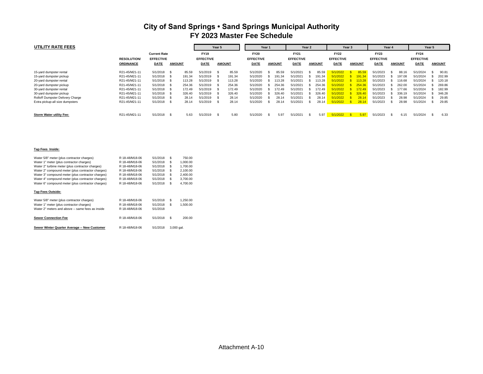| UTILITY RATE FEES                |                    |                  |                     |                  | Year 5      |               | Year 1           |  |               | Year 2           |  |               |                  | Year 3 |               | Year 4           |  |               | Year 5           |  |               |
|----------------------------------|--------------------|------------------|---------------------|------------------|-------------|---------------|------------------|--|---------------|------------------|--|---------------|------------------|--------|---------------|------------------|--|---------------|------------------|--|---------------|
|                                  |                    |                  | <b>Current Rate</b> |                  | <b>FY19</b> |               | <b>FY20</b>      |  |               | <b>FY21</b>      |  |               | <b>FY22</b>      |        |               | <b>FY23</b>      |  |               | <b>FY24</b>      |  |               |
|                                  | <b>RESOLUTION/</b> | <b>EFFECTIVE</b> |                     | <b>EFFECTIVE</b> |             |               | <b>EFFECTIVE</b> |  |               | <b>EFFECTIVE</b> |  |               | <b>EFFECTIVE</b> |        |               | <b>EFFECTIVE</b> |  |               | <b>EFFECTIVE</b> |  |               |
|                                  | <b>ORDINANCE</b>   | <b>DATE</b>      | <b>AMOUNT</b>       | <b>DATE</b>      |             | <b>AMOUNT</b> | DATE             |  | <b>AMOUNT</b> | <b>DATE</b>      |  | <b>AMOUNT</b> | <b>DATE</b>      |        | <b>AMOUNT</b> | <b>DATE</b>      |  | <b>AMOUNT</b> | <b>DATE</b>      |  | <b>AMOUNT</b> |
| 15-yard dumpster rental          | R21-45/M21-11      | 5/1/2018         | 85.59<br>- 55       | 5/1/2019         | - 35        | 85.59         | 5/1/2020         |  | 85.59         | 5/1/2021         |  | 85.59         | 5/1/2022         |        | 85.59         | 5/1/2023         |  | 88.16         | 5/1/2024         |  | 90.81         |
| 15-yard dumpster pickup          | R21-45/M21-11      | 5/1/2018         | 191.34              | 5/1/2019         | - 35        | 191.34        | 5/1/2020         |  | 191.34        | 5/1/2021         |  | 191.34        | 5/1/2022         |        | 191.34        | 5/1/2023         |  | 197.08        | 5/1/2024         |  | 202.99        |
| 20-yard dumpster rental          | R21-45/M21-11      | 5/1/2018         | 113.28              | 5/1/2019         | - 35        | 113.28        | 5/1/2020         |  | 113.28        | 5/1/2021         |  | 113.28        | 5/1/2022         |        | 113.28        | 5/1/2023         |  | 116.68        | 5/1/2024         |  | 120.18        |
| 20-yard dumpster pickup          | R21-45/M21-11      | 5/1/2018         | 254.36              | 5/1/2019         |             | 254.36        | 5/1/2020         |  | 254.36        | 5/1/2021         |  | 254.36        | 5/1/2022         |        | 254.36        | 5/1/2023         |  | 262.00        | 5/1/2024         |  | 269.86        |
| 30-yard dumpster rental          | R21-45/M21-11      | 5/1/2018         | 172.49              | 5/1/2019         |             | 172.49        | 5/1/2020         |  | 172.49        | 5/1/2021         |  | 172.49        | 5/1/2022         |        | 172.49        | 5/1/2023         |  | 177.66        | 5/1/2024         |  | 182.99        |
| 30-yard dumpster pickup          | R21-45/M21-11      | 5/1/2018         | 326.40              | 5/1/2019         |             | 326.40        | 5/1/2020         |  | 326.40        | 5/1/2021         |  | 326.40        | 5/1/2022         |        | 326.40        | 5/1/2023         |  | 336.19        | 5/1/2024         |  | 346.28        |
| Rolloff Dumpster Delivery Charge | R21-45/M21-11      | 5/1/2018         | 28.14               | 5/1/2019         |             | 28.14         | 5/1/2020         |  | 28.14         | 5/1/2021         |  | 28.14         | 5/1/2022         |        | 28.14         | 5/1/2023         |  | 28.98         | 5/1/2024         |  | 29.85         |
| Extra pickup-all size dumpsters  | R21-45/M21-11      | 5/1/2018         | 28.14<br>- 55       | 5/1/2019         | ж           | 28.14         | 5/1/2020         |  | 28.14         | 5/1/2021         |  | 28.14         | 5/1/2022         |        | 28.14         | 5/1/2023         |  | 28.98         | 5/1/2024         |  | 29.85         |
| <b>Storm Water utility Fee:</b>  | R21-45/M21-11      | $5/1/2018$ \$    | 5.63                | 5/1/2019         | -S          | 5.80          | 5/1/2020         |  | 5.97          | 5/1/2021         |  | 5.97          | 5/1/2022         |        | 5.97          | 5/1/2023         |  | 6.15          | 5/1/2024         |  | 6.33          |

|--|

| Water 5/8" meter (plus contractor charges)        | R 18-48/M18-06 | 5/1/2018 | S<br>750.00   |            |  |  |  |  |
|---------------------------------------------------|----------------|----------|---------------|------------|--|--|--|--|
| Water 1" meter (plus contractor charges)          | R 18-48/M18-06 | 5/1/2018 | S             | 1.000.00   |  |  |  |  |
| Water 2" turbine meter (plus contractor charges)  | R 18-48/M18-06 | 5/1/2018 | S<br>1.700.00 |            |  |  |  |  |
| Water 2" compound meter (plus contractor charges) | R 18-48/M18-06 | 5/1/2018 | S             | 2.100.00   |  |  |  |  |
| Water 3" compound meter (plus contractor charges) | R 18-48/M18-06 | 5/1/2018 | S             | 2.400.00   |  |  |  |  |
| Water 4" compound meter (plus contractor charges) | R 18-48/M18-06 | 5/1/2018 | S             | 3.700.00   |  |  |  |  |
| Water 6" compound meter (plus contractor charges) | R 18-48/M18-06 | 5/1/2018 | S             | 4.700.00   |  |  |  |  |
| <b>Tap Fees Outside:</b>                          |                |          |               |            |  |  |  |  |
| Water 5/8" meter (plus contractor charges)        | R 18-48/M18-06 | 5/1/2018 | S             | 1.250.00   |  |  |  |  |
| Water 1" meter (plus contractor charges)          | R 18-48/M18-06 | 5/1/2018 | S             | 1.500.00   |  |  |  |  |
| Water 2" meters and above -- same fees as inside  | R 18-48/M18-06 | 5/1/2018 |               |            |  |  |  |  |
| <b>Sewer Connection Fee</b>                       | R 18-48/M18-06 | 5/1/2018 | S             | 200.00     |  |  |  |  |
| Sewer Winter Quarter Average -- New Customer      | R 18-48/M18-06 | 5/1/2018 |               | 3.000 gal. |  |  |  |  |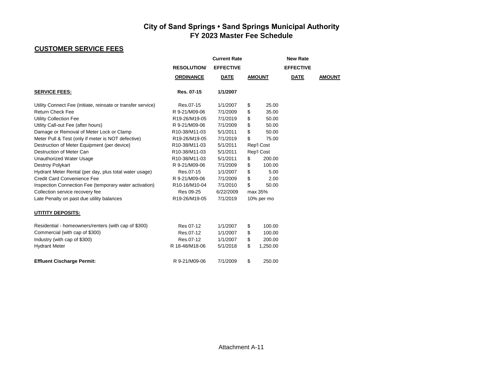## **CUSTOMER SERVICE FEES**

|                                                              |                   | <b>Current Rate</b> |                | <b>New Rate</b>  |               |
|--------------------------------------------------------------|-------------------|---------------------|----------------|------------------|---------------|
|                                                              | <b>RESOLUTION</b> | <b>EFFECTIVE</b>    |                | <b>EFFECTIVE</b> |               |
|                                                              | <b>ORDINANCE</b>  | <b>DATE</b>         | <b>AMOUNT</b>  | <b>DATE</b>      | <b>AMOUNT</b> |
| <b>SERVICE FEES:</b>                                         | Res. 07-15        | 1/1/2007            |                |                  |               |
| Utility Connect Fee (initiate, reinsate or transfer service) | Res.07-15         | 1/1/2007            | \$<br>25.00    |                  |               |
| <b>Return Check Fee</b>                                      | R 9-21/M09-06     | 7/1/2009            | \$<br>35.00    |                  |               |
| <b>Utility Collection Fee</b>                                | R19-26/M19-05     | 7/1/2019            | \$<br>50.00    |                  |               |
| Utility Call-out Fee (after hours)                           | R 9-21/M09-06     | 7/1/2009            | \$<br>50.00    |                  |               |
| Damage or Removal of Meter Lock or Clamp                     | R10-38/M11-03     | 5/1/2011            | \$<br>50.00    |                  |               |
| Meter Pull & Test (only if meter is NOT defective)           | R19-26/M19-05     | 7/1/2019            | \$<br>75.00    |                  |               |
| Destruction of Meter Equipment (per device)                  | R10-38/M11-03     | 5/1/2011            | Rep'l Cost     |                  |               |
| Destruction of Meter Can                                     | R10-38/M11-03     | 5/1/2011            | Rep'l Cost     |                  |               |
| Unauthorized Water Usage                                     | R10-38/M11-03     | 5/1/2011            | \$<br>200.00   |                  |               |
| Destroy Polykart                                             | R 9-21/M09-06     | 7/1/2009            | \$<br>100.00   |                  |               |
| Hydrant Meter Rental (per day, plus total water usage)       | Res.07-15         | 1/1/2007            | \$<br>5.00     |                  |               |
| <b>Credit Card Convenience Fee</b>                           | R 9-21/M09-06     | 7/1/2009            | \$<br>2.00     |                  |               |
| Inspection Connection Fee (temporary water activation)       | R10-16/M10-04     | 7/1/2010            | \$<br>50.00    |                  |               |
| Collection service recovery fee                              | Res 09-25         | 6/22/2009           | max 35%        |                  |               |
| Late Penalty on past due utility balances                    | R19-26/M19-05     | 7/1/2019            | 10% per mo     |                  |               |
| <b>UTITITY DEPOSITS:</b>                                     |                   |                     |                |                  |               |
| Residential - homeowners/renters (with cap of \$300)         | Res 07-12         | 1/1/2007            | \$<br>100.00   |                  |               |
| Commercial (with cap of \$300)                               | Res.07-12         | 1/1/2007            | \$<br>100.00   |                  |               |
| Industry (with cap of \$300)                                 | Res.07-12         | 1/1/2007            | \$<br>200.00   |                  |               |
| <b>Hydrant Meter</b>                                         | R 18-48/M18-06    | 5/1/2018            | \$<br>1,250.00 |                  |               |
| <b>Effluent Cischarge Permit:</b>                            | R 9-21/M09-06     | 7/1/2009            | \$<br>250.00   |                  |               |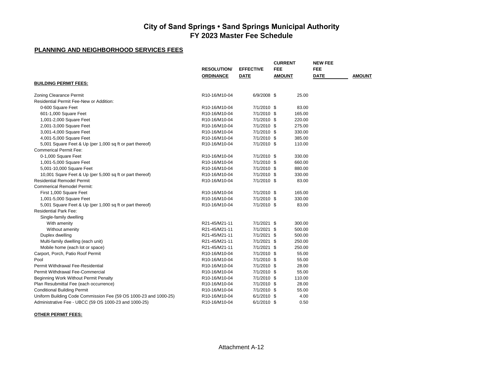#### **PLANNING AND NEIGHBORHOOD SERVICES FEES**

|                                                                  |                                         |                  | <b>CURRENT</b> | <b>NEW FEE</b> |               |
|------------------------------------------------------------------|-----------------------------------------|------------------|----------------|----------------|---------------|
|                                                                  | <b>RESOLUTION/</b>                      | <b>EFFECTIVE</b> | <b>FEE</b>     | <b>FEE</b>     |               |
|                                                                  | <b>ORDINANCE</b>                        | <b>DATE</b>      | <b>AMOUNT</b>  | <b>DATE</b>    | <b>AMOUNT</b> |
| <b>BUILDING PERMIT FEES:</b>                                     |                                         |                  |                |                |               |
|                                                                  |                                         |                  |                |                |               |
| <b>Zoning Clearance Permit</b>                                   | R10-16/M10-04                           | 6/9/2008 \$      | 25.00          |                |               |
| Residential Permit Fee-New or Addition:                          |                                         |                  |                |                |               |
| 0-600 Square Feet                                                | R10-16/M10-04                           | 7/1/2010 \$      | 83.00          |                |               |
| 601-1,000 Square Feet                                            | R <sub>10</sub> -16/M <sub>10</sub> -04 | 7/1/2010 \$      | 165.00         |                |               |
| 1,001-2,000 Square Feet                                          | R10-16/M10-04                           | 7/1/2010 \$      | 220.00         |                |               |
| 2,001-3,000 Square Feet                                          | R10-16/M10-04                           | 7/1/2010 \$      | 275.00         |                |               |
| 3,001-4,000 Square Feet                                          | R10-16/M10-04                           | 7/1/2010 \$      | 330.00         |                |               |
| 4,001-5,000 Square Feet                                          | R10-16/M10-04                           | 7/1/2010 \$      | 385.00         |                |               |
| 5,001 Square Feet & Up (per 1,000 sq ft or part thereof)         | R10-16/M10-04                           | 7/1/2010 \$      | 110.00         |                |               |
| <b>Commerical Permit Fee:</b>                                    |                                         |                  |                |                |               |
| 0-1,000 Square Feet                                              | R10-16/M10-04                           | 7/1/2010 \$      | 330.00         |                |               |
| 1,001-5,000 Square Feet                                          | R10-16/M10-04                           | 7/1/2010 \$      | 660.00         |                |               |
| 5,001-10,000 Square Feet                                         | R10-16/M10-04                           | 7/1/2010 \$      | 880.00         |                |               |
| 10,001 Sqare Feet & Up (per 5,000 sq ft or part thereof)         | R10-16/M10-04                           | 7/1/2010 \$      | 330.00         |                |               |
| <b>Residential Remodel Permit</b>                                | R10-16/M10-04                           | 7/1/2010 \$      | 83.00          |                |               |
| <b>Commerical Remodel Permit:</b>                                |                                         |                  |                |                |               |
| First 1,000 Square Feet                                          | R10-16/M10-04                           | 7/1/2010 \$      | 165.00         |                |               |
| 1,001-5,000 Square Feet                                          | R10-16/M10-04                           | 7/1/2010 \$      | 330.00         |                |               |
| 5,001 Square Feet & Up (per 1,000 sq ft or part thereof)         | R10-16/M10-04                           | 7/1/2010 \$      | 83.00          |                |               |
| <b>Residential Park Fee:</b>                                     |                                         |                  |                |                |               |
| Single-family dwelling                                           |                                         |                  |                |                |               |
| With amenity                                                     | R21-45/M21-11                           | 7/1/2021 \$      | 300.00         |                |               |
| Without amenity                                                  | R21-45/M21-11                           | 7/1/2021 \$      | 500.00         |                |               |
| Duplex dwelling                                                  | R21-45/M21-11                           | 7/1/2021 \$      | 500.00         |                |               |
| Multi-family dwelling (each unit)                                | R21-45/M21-11                           | 7/1/2021 \$      | 250.00         |                |               |
|                                                                  | R21-45/M21-11                           | 7/1/2021 \$      | 250.00         |                |               |
| Mobile home (each lot or space)                                  |                                         |                  |                |                |               |
| Carport, Porch, Patio Roof Permit                                | R10-16/M10-04                           | 7/1/2010 \$      | 55.00          |                |               |
| Pool                                                             | R10-16/M10-04                           | 7/1/2010 \$      | 55.00          |                |               |
| Permit Withdrawal Fee-Residential                                | R10-16/M10-04                           | 7/1/2010 \$      | 28.00          |                |               |
| Permit Withdrawal Fee-Commercial                                 | R10-16/M10-04                           | 7/1/2010 \$      | 55.00          |                |               |
| Beginning Work Without Permit Penalty                            | R10-16/M10-04                           | 7/1/2010 \$      | 110.00         |                |               |
| Plan Resubmittal Fee (each occurrence)                           | R10-16/M10-04                           | 7/1/2010 \$      | 28.00          |                |               |
| <b>Conditional Building Permit</b>                               | R10-16/M10-04                           | 7/1/2010 \$      | 55.00          |                |               |
| Uniform Building Code Commission Fee (59 OS 1000-23 and 1000-25) | R10-16/M10-04                           | 6/1/2010 \$      | 4.00           |                |               |
| Administrative Fee - UBCC (59 OS 1000-23 and 1000-25)            | R10-16/M10-04                           | 6/1/2010 \$      | 0.50           |                |               |

**OTHER PERMIT FEES:**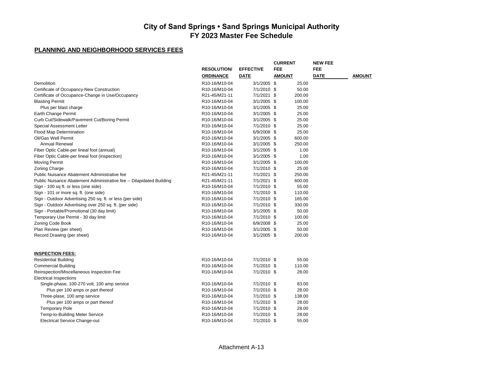|                                                                      |                    |                  | <b>CURRENT</b> | <b>NEW FEE</b> |               |
|----------------------------------------------------------------------|--------------------|------------------|----------------|----------------|---------------|
|                                                                      | <b>RESOLUTION/</b> | <b>EFFECTIVE</b> | <b>FEE</b>     | <b>FEE</b>     |               |
|                                                                      | <b>ORDINANCE</b>   | DATE             | AMOUNT         | <b>DATE</b>    | <b>AMOUNT</b> |
| Demolition                                                           | R10-16/M10-04      | $3/1/2005$ \$    | 25.00          |                |               |
| Certificate of Occupancy-New Construction                            | R10-16/M10-04      | 7/1/2010 \$      | 50.00          |                |               |
| Certificate of Occupance-Change in Use/Occupancy                     | R21-45/M21-11      | 7/1/2021 \$      | 200.00         |                |               |
| <b>Blasting Permit</b>                                               | R10-16/M10-04      | $3/1/2005$ \$    | 100.00         |                |               |
| Plus per blast charge                                                | R10-16/M10-04      | $3/1/2005$ \$    | 25.00          |                |               |
| Earth Change Permit                                                  | R10-16/M10-04      | $3/1/2005$ \$    | 25.00          |                |               |
| Curb Cut/Sidewalk/Pavement Cut/Boring Permit                         | R10-16/M10-04      | $3/1/2005$ \$    | 25.00          |                |               |
| <b>Special Assessment Letter</b>                                     | R10-16/M10-04      | 7/1/2010 \$      | 25.00          |                |               |
| Flood Map Determination                                              | R10-16/M10-04      | 6/9/2008 \$      | 25.00          |                |               |
| Oil/Gas Well Permit                                                  | R10-16/M10-04      | $3/1/2005$ \$    | 600.00         |                |               |
| Annual Renewal                                                       | R10-16/M10-04      | $3/1/2005$ \$    | 250.00         |                |               |
| Fiber Optic Cable-per lineal foot (annual)                           | R10-16/M10-04      | $3/1/2005$ \$    | 1.00           |                |               |
| Fiber Optic Cable-per lineal foot (inspection)                       | R10-16/M10-04      | $3/1/2005$ \$    | 1.00           |                |               |
| <b>Moving Permit</b>                                                 | R10-16/M10-04      | $3/1/2005$ \$    | 100.00         |                |               |
| Zoning Charge                                                        | R10-16/M10-04      | 7/1/2010 \$      | 25.00          |                |               |
| Public Nuisance Abatement Administrative fee                         | R21-45/M21-11      | 7/1/2021 \$      | 250.00         |                |               |
| Public Nuisance Abatement Administrative fee -- Dilapidated Building | R21-45/M21-11      | 7/1/2021 \$      | 600.00         |                |               |
| Sign - 100 sq ft. or less (one side)                                 | R10-16/M10-04      | 7/1/2010 \$      | 55.00          |                |               |
| Sign - 101 or more sq. ft. (one side)                                | R10-16/M10-04      | 7/1/2010 \$      | 110.00         |                |               |
| Sign - Outdoor Advertising 250 sq. ft. or less (per side)            | R10-16/M10-04      | 7/1/2010 \$      | 165.00         |                |               |
| Sign - Outdoor Advertising over 250 sq. ft. (per side)               | R10-16/M10-04      | 7/1/2010 \$      | 330.00         |                |               |
| Sign - Portable/Promotional (30 day limit)                           | R10-16/M10-04      | $3/1/2005$ \$    | 50.00          |                |               |
| Temporary Use Permit - 30 day limit                                  | R10-16/M10-04      | 7/1/2010 \$      | 100.00         |                |               |
| Zoning Code Book                                                     | R10-16/M10-04      | 6/9/2008 \$      | 25.00          |                |               |
| Plan Review (per sheet)                                              | R10-16/M10-04      | $3/1/2005$ \$    | 50.00          |                |               |
| Record Drawing (per sheet)                                           | R10-16/M10-04      | $3/1/2005$ \$    | 200.00         |                |               |
|                                                                      |                    |                  |                |                |               |
| <b>INSPECTION FEES:</b>                                              |                    |                  |                |                |               |
| <b>Residential Building</b>                                          | R10-16/M10-04      | 7/1/2010 \$      | 55.00          |                |               |
| <b>Commercial Building</b>                                           | R10-16/M10-04      | 7/1/2010 \$      | 110.00         |                |               |
| Reinspection/Miscellaneous Inspection Fee                            | R10-16/M10-04      | 7/1/2010 \$      | 28.00          |                |               |
| <b>Electrical Inspections</b>                                        |                    |                  |                |                |               |
| Single-phase, 100-270 volt, 100 amp service                          | R10-16/M10-04      | 7/1/2010 \$      | 83.00          |                |               |
| Plus per 100 amps or part thereof                                    | R10-16/M10-04      | 7/1/2010 \$      | 28.00          |                |               |
| Three-plase, 100 amp service                                         | R10-16/M10-04      | 7/1/2010 \$      | 138.00         |                |               |
| Plus per 100 amps or part thereof                                    | R10-16/M10-04      | 7/1/2010 \$      | 28.00          |                |               |
| <b>Temporary Pole</b>                                                | R10-16/M10-04      | 7/1/2010 \$      | 28.00          |                |               |
| Temp-to-Building Meter Service                                       | R10-16/M10-04      | 7/1/2010 \$      | 28.00          |                |               |
| <b>Electrical Service Change-out</b>                                 | R10-16/M10-04      | 7/1/2010 \$      | 55.00          |                |               |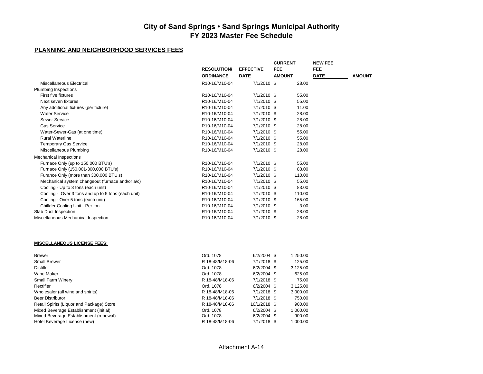|                                                    |                                         |                  | <b>CURRENT</b> | <b>NEW FEE</b> |               |
|----------------------------------------------------|-----------------------------------------|------------------|----------------|----------------|---------------|
|                                                    | <b>RESOLUTION/</b>                      | <b>EFFECTIVE</b> | <b>FEE</b>     | <b>FEE</b>     |               |
|                                                    | <b>ORDINANCE</b>                        | <b>DATE</b>      | <b>AMOUNT</b>  | <b>DATE</b>    | <b>AMOUNT</b> |
| Miscellaneous Electrical                           | R10-16/M10-04                           | 7/1/2010 \$      | 28.00          |                |               |
| <b>Plumbing Inspections</b>                        |                                         |                  |                |                |               |
| First five fixtures                                | R10-16/M10-04                           | 7/1/2010 \$      | 55.00          |                |               |
| Next seven fixtures                                | R10-16/M10-04                           | 7/1/2010 \$      | 55.00          |                |               |
| Any additional fixtures (per fixture)              | R10-16/M10-04                           | 7/1/2010 \$      | 11.00          |                |               |
| <b>Water Service</b>                               | R10-16/M10-04                           | 7/1/2010 \$      | 28.00          |                |               |
| Sewer Service                                      | R10-16/M10-04                           | 7/1/2010 \$      | 28.00          |                |               |
| <b>Gas Service</b>                                 | R10-16/M10-04                           | 7/1/2010 \$      | 28.00          |                |               |
| Water-Sewer-Gas (at one time)                      | R10-16/M10-04                           | 7/1/2010 \$      | 55.00          |                |               |
| <b>Rural Waterline</b>                             | R10-16/M10-04                           | 7/1/2010 \$      | 55.00          |                |               |
| <b>Temporary Gas Service</b>                       | R10-16/M10-04                           | 7/1/2010 \$      | 28.00          |                |               |
| Miscellaneous Plumbing                             | R10-16/M10-04                           | 7/1/2010 \$      | 28.00          |                |               |
| <b>Mechanical Inspections</b>                      |                                         |                  |                |                |               |
| Furnace Only (up to 150,000 BTU's)                 | R10-16/M10-04                           | 7/1/2010 \$      | 55.00          |                |               |
| Furnace Only (150,001-300,000 BTU's)               | R10-16/M10-04                           | 7/1/2010 \$      | 83.00          |                |               |
| Furance Only (more than 300,000 BTU's)             | R10-16/M10-04                           | 7/1/2010 \$      | 110.00         |                |               |
| Mechanical system changeout (furnace and/or a/c)   | R10-16/M10-04                           | 7/1/2010 \$      | 55.00          |                |               |
| Cooling - Up to 3 tons (each unit)                 | R10-16/M10-04                           | 7/1/2010 \$      | 83.00          |                |               |
| Cooling - Over 3 tons and up to 5 tons (each unit) | R10-16/M10-04                           | 7/1/2010 \$      | 110.00         |                |               |
| Cooling - Over 5 tons (each unit)                  | R <sub>10</sub> -16/M <sub>10</sub> -04 | 7/1/2010 \$      | 165.00         |                |               |
| Chillder Cooling Unit - Per ton                    | R10-16/M10-04                           | 7/1/2010 \$      | 3.00           |                |               |
| Slab Duct Inspection                               | R10-16/M10-04                           | 7/1/2010 \$      | 28.00          |                |               |
| Miscellaneous Mechanical Inspection                | R10-16/M10-04                           | 7/1/2010 \$      | 28.00          |                |               |
|                                                    |                                         |                  |                |                |               |
| <b>MISCELLANEOUS LICENSE FEES:</b>                 |                                         |                  |                |                |               |
|                                                    |                                         |                  |                |                |               |

| <b>Brewer</b>                             | Ord. 1078      | $6/2/2004$ \$ | 1,250.00 |
|-------------------------------------------|----------------|---------------|----------|
| <b>Small Brewer</b>                       | R 18-48/M18-06 | 7/1/2018 \$   | 125.00   |
| <b>Distiller</b>                          | Ord. 1078      | $6/2/2004$ \$ | 3,125.00 |
| Wine Maker                                | Ord. 1078      | $6/2/2004$ \$ | 625.00   |
| <b>Small Farm Winery</b>                  | R 18-48/M18-06 | $7/1/2018$ \$ | 75.00    |
| Rectifier                                 | Ord. 1078      | $6/2/2004$ \$ | 3,125.00 |
| Wholesaler (all wine and spirits)         | R 18-48/M18-06 | 7/1/2018 \$   | 3,000.00 |
| <b>Beer Distributor</b>                   | R 18-48/M18-06 | $7/1/2018$ \$ | 750.00   |
| Retail Spirits (Liquor and Package) Store | R 18-48/M18-06 | 10/1/2018 \$  | 900.00   |
| Mixed Beverage Establishment (initial)    | Ord. 1078      | $6/2/2004$ \$ | 1.000.00 |
| Mixed Beverage Establishment (renewal)    | Ord. 1078      | $6/2/2004$ \$ | 900.00   |
| Hotel Beverage License (new)              | R 18-48/M18-06 | $7/1/2018$ \$ | 1.000.00 |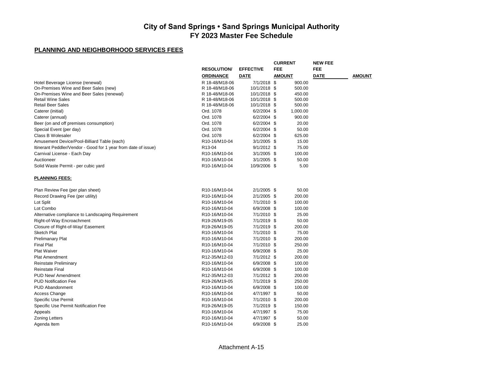|                                                                |                                         |                  |               | <b>NEW FEE</b> |        |
|----------------------------------------------------------------|-----------------------------------------|------------------|---------------|----------------|--------|
|                                                                | <b>RESOLUTION</b>                       | <b>EFFECTIVE</b> | FEE           | FEE            |        |
|                                                                | <b>ORDINANCE</b>                        | DATE             | <b>AMOUNT</b> | <b>DATE</b>    | AMOUNT |
| Hotel Beverage License (renewal)                               | R 18-48/M18-06                          | 7/1/2018 \$      | 900.00        |                |        |
| On-Premises Wine and Beer Sales (new)                          | R 18-48/M18-06                          | 10/1/2018 \$     | 500.00        |                |        |
| On-Premises Wine and Beer Sales (renewal)                      | R 18-48/M18-06                          | 10/1/2018 \$     | 450.00        |                |        |
| <b>Retail Wine Sales</b>                                       | R 18-48/M18-06                          | 10/1/2018 \$     | 500.00        |                |        |
| <b>Retail Beer Sales</b>                                       | R 18-48/M18-06                          | 10/1/2018 \$     | 500.00        |                |        |
| Caterer (initial)                                              | Ord. 1078                               | 6/2/2004 \$      | 1,000.00      |                |        |
| Caterer (annual)                                               | Ord. 1078                               | 6/2/2004 \$      | 900.00        |                |        |
| Beer (on and off premises consumption)                         | Ord. 1078                               | 6/2/2004 \$      | 20.00         |                |        |
| Special Event (per day)                                        | Ord. 1078                               | 6/2/2004 \$      | 50.00         |                |        |
| Class B Wolesaler                                              | Ord. 1078                               | 6/2/2004 \$      | 625.00        |                |        |
| Amusement Device/Pool-Billiard Table (each)                    | R10-16/M10-04                           | $3/1/2005$ \$    | 15.00         |                |        |
| Itinerant Peddler/Vendor - Good for 1 year from date of issue) | R <sub>13</sub> -04                     | $9/1/2012$ \$    | 75.00         |                |        |
| Carnival License - Each Day                                    | R10-16/M10-04                           | $3/1/2005$ \$    | 100.00        |                |        |
| Auctioneer                                                     | R10-16/M10-04                           | $3/1/2005$ \$    | 50.00         |                |        |
| Solid Waste Permit - per cubic yard                            | R <sub>10</sub> -16/M <sub>10</sub> -04 | 10/9/2006 \$     | 5.00          |                |        |
| <b>PLANNING FEES:</b>                                          |                                         |                  |               |                |        |
| Plan Review Fee (per plan sheet)                               | R10-16/M10-04                           | 2/1/2005 \$      | 50.00         |                |        |
| Record Drawing Fee (per utility)                               | R10-16/M10-04                           | 2/1/2005 \$      | 200.00        |                |        |
| Lot Split                                                      | R10-16/M10-04                           | 7/1/2010 \$      | 100.00        |                |        |
| Lot Combo                                                      | R10-16/M10-04                           | 6/9/2008 \$      | 100.00        |                |        |
| Alternative compliance to Landscaping Requirement              | R <sub>10</sub> -16/M <sub>10</sub> -04 | 7/1/2010 \$      | 25.00         |                |        |
| Right-of-Way Encroachment                                      | R19-26/M19-05                           | 7/1/2019 \$      | 50.00         |                |        |
| Closure of Right-of-Way/ Easement                              | R19-26/M19-05                           | 7/1/2019 \$      | 200.00        |                |        |
| <b>Sketch Plat</b>                                             | R10-16/M10-04                           | 7/1/2010 \$      | 75.00         |                |        |
| <b>Prelimanary Plat</b>                                        | R10-16/M10-04                           | 7/1/2010 \$      | 200.00        |                |        |
| <b>Final Plat</b>                                              | R10-16/M10-04                           | 7/1/2010 \$      | 250.00        |                |        |
| <b>Plat Waiver</b>                                             | R10-16/M10-04                           | 6/9/2008 \$      | 25.00         |                |        |
| Plat Amendment                                                 | R12-35/M12-03                           | 7/1/2012 \$      | 200.00        |                |        |
| Reinstate Preliminary                                          | R10-16/M10-04                           | 6/9/2008 \$      | 100.00        |                |        |
| <b>Reinstate Final</b>                                         | R10-16/M10-04                           | 6/9/2008 \$      | 100.00        |                |        |
| PUD New/Amendment                                              | R12-35/M12-03                           | 7/1/2012 \$      | 200.00        |                |        |
| <b>PUD Notification Fee</b>                                    | R19-26/M19-05                           | 7/1/2019 \$      | 250.00        |                |        |
| <b>PUD Abandonment</b>                                         | R10-16/M10-04                           | 6/9/2008 \$      | 100.00        |                |        |
| Access Change                                                  | R10-16/M10-04                           | 4/7/1997 \$      | 50.00         |                |        |
| Specific Use Permit                                            | R10-16/M10-04                           | 7/1/2010 \$      | 200.00        |                |        |
| Specific Use Permit Notification Fee                           | R19-26/M19-05                           | 7/1/2019 \$      | 150.00        |                |        |
| Appeals                                                        | R10-16/M10-04                           | 4/7/1997 \$      | 75.00         |                |        |
| <b>Zoning Letters</b>                                          | R <sub>10</sub> -16/M <sub>10</sub> -04 | 4/7/1997 \$      | 50.00         |                |        |
| Agenda Item                                                    | R10-16/M10-04                           | 6/9/2008 \$      | 25.00         |                |        |
|                                                                |                                         |                  |               |                |        |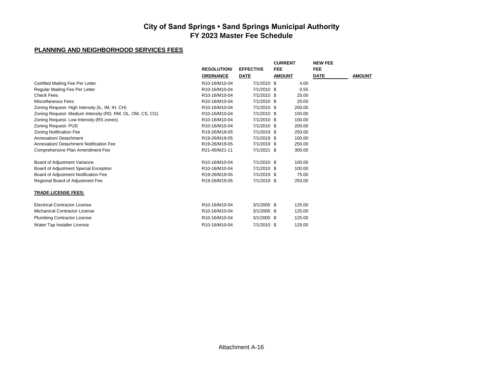|                                                           |                    |                  | <b>CURRENT</b> | <b>NEW FEE</b> |               |
|-----------------------------------------------------------|--------------------|------------------|----------------|----------------|---------------|
|                                                           | <b>RESOLUTION/</b> | <b>EFFECTIVE</b> | <b>FEE</b>     | <b>FEE</b>     |               |
|                                                           | <b>ORDINANCE</b>   | <b>DATE</b>      | <b>AMOUNT</b>  | <b>DATE</b>    | <b>AMOUNT</b> |
| Certified Mailing Fee Per Letter                          | R10-16/M10-04      | 7/1/2010 \$      | 4.00           |                |               |
| Regular Mailing Fee Per Letter                            | R10-16/M10-04      | 7/1/2010 \$      | 0.55           |                |               |
| <b>Check Fees</b>                                         | R10-16/M10-04      | 7/1/2010 \$      | 25.00          |                |               |
| Miscellaneous Fees                                        | R10-16/M10-04      | 7/1/2010 \$      | 20.00          |                |               |
| Zoning Request-High Intensity (IL, IM, IH, CH)            | R10-16/M10-04      | 7/1/2010 \$      | 200.00         |                |               |
| Zoning Request- Medium Intensity (RD, RM, OL, OM, CS, CG) | R10-16/M10-04      | 7/1/2010 \$      | 150.00         |                |               |
| Zoning Request-Low Intensity (RS zones)                   | R10-16/M10-04      | 7/1/2010 \$      | 100.00         |                |               |
| Zoning Request- PUD                                       | R10-16/M10-04      | 7/1/2010 \$      | 200.00         |                |               |
| Zoning Notification Fee                                   | R19-26/M19-05      | 7/1/2019 \$      | 250.00         |                |               |
| Annexation/Detachment                                     | R19-26/M19-05      | 7/1/2019 \$      | 100.00         |                |               |
| Annexation/ Detachment Notification Fee                   | R19-26/M19-05      | 7/1/2019 \$      | 250.00         |                |               |
| Comprehensive Plan Amendment Fee                          | R21-45/M21-11      | 7/1/2021 \$      | 300.00         |                |               |
| Board of Adjustment Variance                              | R10-16/M10-04      | 7/1/2010 \$      | 100.00         |                |               |
| Board of Adjustment Special Exception                     | R10-16/M10-04      | 7/1/2010 \$      | 100.00         |                |               |
| Board of Adjustment Notification Fee                      | R19-26/M19-05      | 7/1/2019 \$      | 75.00          |                |               |
| Regional Board of Adjustment Fee                          | R19-26/M19-05      | 7/1/2019 \$      | 250.00         |                |               |
| <b>TRADE LICENSE FEES:</b>                                |                    |                  |                |                |               |
| <b>Electrical Contractor License</b>                      | R10-16/M10-04      | $3/1/2005$ \$    | 125.00         |                |               |
| <b>Michanical Contractor License</b>                      | R10-16/M10-04      | $3/1/2005$ \$    | 125.00         |                |               |
| <b>Plumbing Contractor License</b>                        | R10-16/M10-04      | $3/1/2005$ \$    | 125.00         |                |               |
| Water Tap Installer License                               | R10-16/M10-04      | 7/1/2010 \$      | 125.00         |                |               |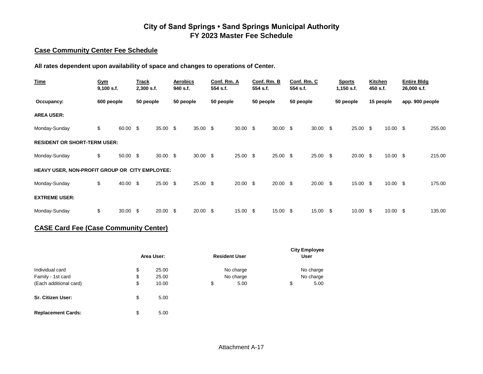#### **Case Community Center Fee Schedule**

**All rates dependent upon availability of space and changes to operations of Center.**

| <b>Time</b>                                    | Gym<br>$9,100$ s.f. |            | Track<br>2,300 s.f. |                 | <b>Aerobics</b><br>940 s.f. |            | Conf. Rm. A<br>554 s.f. |                 | Conf. Rm. B<br>554 s.f. |            | Conf. Rm. C<br>554 s.f. |                 | <b>Sports</b><br>$1,150$ s.f. |                 | <b>Kitchen</b><br>450 s.f. |                     | <b>Entire Bldg</b><br>26,000 s.f. |        |
|------------------------------------------------|---------------------|------------|---------------------|-----------------|-----------------------------|------------|-------------------------|-----------------|-------------------------|------------|-------------------------|-----------------|-------------------------------|-----------------|----------------------------|---------------------|-----------------------------------|--------|
| Occupancy:                                     | 600 people          |            | 50 people           |                 | 50 people                   |            | 50 people               |                 | 50 people               |            | 50 people               |                 | 50 people                     |                 | 15 people                  |                     | app. 900 people                   |        |
| <b>AREA USER:</b>                              |                     |            |                     |                 |                             |            |                         |                 |                         |            |                         |                 |                               |                 |                            |                     |                                   |        |
| Monday-Sunday                                  | \$                  | 60.00 \$   |                     | 35.00           | - \$                        | $35.00$ \$ |                         | $30.00 \quad $$ |                         | $30.00$ \$ |                         | $30.00 \quad $$ |                               | $25.00\quad$ \$ |                            | $10.00 \text{ }$ \$ |                                   | 255.00 |
| <b>RESIDENT OR SHORT-TERM USER:</b>            |                     |            |                     |                 |                             |            |                         |                 |                         |            |                         |                 |                               |                 |                            |                     |                                   |        |
| Monday-Sunday                                  | \$                  | 50.00 \$   |                     | $30.00\quad$ \$ |                             | $30.00$ \$ |                         | $25.00$ \$      |                         | $25.00$ \$ |                         | $25.00$ \$      |                               | $20.00\quad$ \$ |                            | $10.00 \text{ }$ \$ |                                   | 215.00 |
| HEAVY USER, NON-PROFIT GROUP OR CITY EMPLOYEE: |                     |            |                     |                 |                             |            |                         |                 |                         |            |                         |                 |                               |                 |                            |                     |                                   |        |
| Monday-Sunday                                  | \$                  | 40.00 \$   |                     | 25.00           | - \$                        | $25.00$ \$ |                         | $20.00\quad$ \$ |                         | $20.00$ \$ |                         | $20.00\quad$ \$ |                               | 15.00 \$        |                            | $10.00 \text{ }$ \$ |                                   | 175.00 |
| <b>EXTREME USER:</b>                           |                     |            |                     |                 |                             |            |                         |                 |                         |            |                         |                 |                               |                 |                            |                     |                                   |        |
| Monday-Sunday                                  | \$                  | $30.00$ \$ |                     | 20.00           | - \$                        | $20.00$ \$ |                         | 15.00 \$        |                         | 15.00 \$   |                         | 15.00 \$        |                               | 10.00           | \$                         | $10.00 \text{ }$ \$ |                                   | 135.00 |

## **CASE Card Fee (Case Community Center)**

|                          | Area User:  | <b>Resident User</b> | <b>City Employee</b><br><b>User</b> |           |  |
|--------------------------|-------------|----------------------|-------------------------------------|-----------|--|
| Individual card          | \$<br>25.00 | No charge            |                                     | No charge |  |
| Family - 1st card        | \$<br>25.00 | No charge            |                                     | No charge |  |
| (Each additional card)   | \$<br>10.00 | \$<br>5.00           | \$                                  | 5.00      |  |
| <b>Sr. Citizen User:</b> | \$<br>5.00  |                      |                                     |           |  |

**Replacement Cards:** \$ 5.00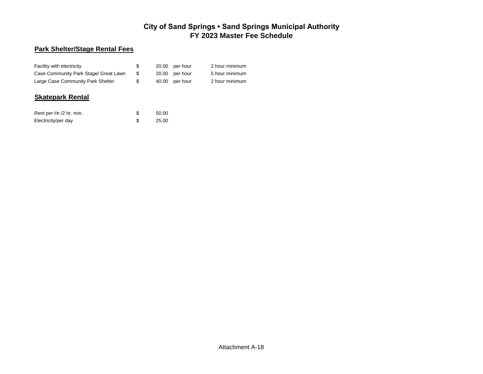## **Park Shelter/Stage Rental Fees**

| Facility with electricity             | \$ | 20.00 per hour | 2 hour minimum |
|---------------------------------------|----|----------------|----------------|
| Case Community Park Stage/ Great Lawn |    | 20.00 per hour | 5 hour minimum |
| Large Case Community Park Shelter     | S  | 40.00 per hour | 2 hour minimum |

#### **Skatepark Rental**

| Rent per Hr./2 hr. min. | 50.00 |
|-------------------------|-------|
| Electricity/per day     | 25.00 |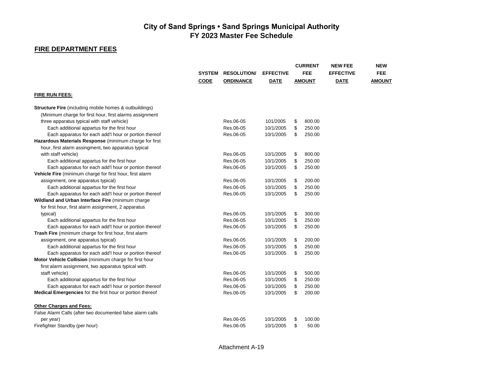## **FIRE DEPARTMENT FEES**

|                                                                  |               |                    |                  | <b>CURRENT</b><br><b>FEE</b><br><b>AMOUNT</b> |        | <b>NEW FEE</b><br><b>EFFECTIVE</b><br><b>DATE</b> | <b>NEW</b>    |
|------------------------------------------------------------------|---------------|--------------------|------------------|-----------------------------------------------|--------|---------------------------------------------------|---------------|
|                                                                  | <b>SYSTEM</b> | <b>RESOLUTION/</b> | <b>EFFECTIVE</b> |                                               |        |                                                   | <b>FEE</b>    |
|                                                                  | <b>CODE</b>   | <b>ORDINANCE</b>   | <b>DATE</b>      |                                               |        |                                                   | <b>AMOUNT</b> |
| <b>FIRE RUN FEES:</b>                                            |               |                    |                  |                                               |        |                                                   |               |
| <b>Structure Fire</b> (including mobile homes & outbuildings)    |               |                    |                  |                                               |        |                                                   |               |
| (Minimum charge for first hour, first alarms assignment          |               |                    |                  |                                               |        |                                                   |               |
| three apparatus typical with staff vehicle)                      |               | Res.06-05          | 101/2005         | \$                                            | 800.00 |                                                   |               |
| Each additional appartus for the first hour                      |               | Res.06-05          | 10/1/2005        | \$                                            | 250.00 |                                                   |               |
| Each apparatus for each add'I hour or portion thereof            |               | Res.06-05          | 10/1/2005        | \$                                            | 250.00 |                                                   |               |
| Hazardous Materials Response (minimum charge for first           |               |                    |                  |                                               |        |                                                   |               |
| hour, first alarm assingment, two apparatus typical              |               |                    |                  |                                               |        |                                                   |               |
| with staff vehicle)                                              |               | Res.06-05          | 10/1/2005        | \$                                            | 800.00 |                                                   |               |
| Each additional appartus for the first hour                      |               | Res.06-05          | 10/1/2005        | \$                                            | 250.00 |                                                   |               |
| Each apparatus for each add'I hour or portion thereof            |               | Res.06-05          | 10/1/2005        | \$                                            | 250.00 |                                                   |               |
| Vehicle Fire (minimum charge for first hour, first alarm         |               |                    |                  |                                               |        |                                                   |               |
| assignment, one apparatus typical)                               |               | Res.06-05          | 10/1/2005        | \$                                            | 200.00 |                                                   |               |
| Each additional appartus for the first hour                      |               | Res.06-05          | 10/1/2005        | \$                                            | 250.00 |                                                   |               |
| Each apparatus for each add'I hour or portion thereof            |               | Res.06-05          | 10/1/2005        | \$                                            | 250.00 |                                                   |               |
| Wildland and Urban Interface Fire (minimum charge                |               |                    |                  |                                               |        |                                                   |               |
| for first hour, first alarm assignment, 2 apparatus              |               |                    |                  |                                               |        |                                                   |               |
| typical)                                                         |               | Res.06-05          | 10/1/2005        | \$                                            | 300.00 |                                                   |               |
| Each additional appartus for the first hour                      |               | Res.06-05          | 10/1/2005        | \$                                            | 250.00 |                                                   |               |
| Each apparatus for each add'I hour or portion thereof            |               | Res.06-05          | 10/1/2005        | \$                                            | 250.00 |                                                   |               |
| Trash Fire (minimum charge for first hour, first alarm           |               |                    |                  |                                               |        |                                                   |               |
| assignment, one apparatus typical)                               |               | Res.06-05          | 10/1/2005        | \$                                            | 200.00 |                                                   |               |
| Each additional appartus for the first hour                      |               | Res.06-05          | 10/1/2005        | \$                                            | 250.00 |                                                   |               |
| Each apparatus for each add'I hour or portion thereof            |               | Res.06-05          | 10/1/2005        | \$                                            | 250.00 |                                                   |               |
| Motor Vehicle Collision (minimum charge for first hour           |               |                    |                  |                                               |        |                                                   |               |
| first alarm assignment, two apparatus typical with               |               |                    |                  |                                               |        |                                                   |               |
| staff vehicle)                                                   |               | Res.06-05          | 10/1/2005        | \$                                            | 500.00 |                                                   |               |
| Each additional appartus for the first hour                      |               | Res.06-05          | 10/1/2005        | \$                                            | 250.00 |                                                   |               |
| Each apparatus for each add'I hour or portion thereof            |               | Res.06-05          | 10/1/2005        | \$                                            | 250.00 |                                                   |               |
| <b>Medical Emergencies</b> for the first hour or portion thereof |               | Res.06-05          | 10/1/2005        | \$                                            | 200.00 |                                                   |               |
| <b>Other Charges and Fees:</b>                                   |               |                    |                  |                                               |        |                                                   |               |
| False Alarm Calls (after two documented false alarm calls        |               |                    |                  |                                               |        |                                                   |               |
| per year)                                                        |               | Res.06-05          | 10/1/2005        | \$                                            | 100.00 |                                                   |               |
| Firefighter Standby (per hour)                                   |               | Res.06-05          | 10/1/2005        | \$                                            | 50.00  |                                                   |               |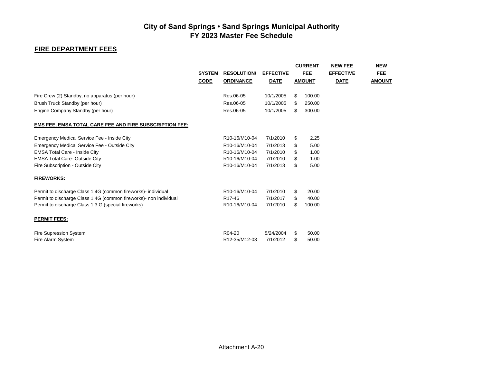## **FIRE DEPARTMENT FEES**

|                                                                   | <b>SYSTEM</b><br><b>CODE</b> | <b>RESOLUTION/</b><br><b>ORDINANCE</b> | <b>EFFECTIVE</b><br><b>DATE</b> |     | <b>CURRENT</b><br><b>FEE</b><br><b>AMOUNT</b> | <b>NEW FEE</b><br><b>EFFECTIVE</b><br><b>DATE</b> | <b>NEW</b><br><b>FEE</b><br><b>AMOUNT</b> |
|-------------------------------------------------------------------|------------------------------|----------------------------------------|---------------------------------|-----|-----------------------------------------------|---------------------------------------------------|-------------------------------------------|
| Fire Crew (2) Standby, no apparatus (per hour)                    |                              | Res.06-05                              | 10/1/2005                       | \$  | 100.00                                        |                                                   |                                           |
| Brush Truck Standby (per hour)                                    |                              | Res.06-05                              | 10/1/2005                       | \$  | 250.00                                        |                                                   |                                           |
| Engine Company Standby (per hour)                                 |                              | Res.06-05                              | 10/1/2005                       | \$. | 300.00                                        |                                                   |                                           |
| <b>EMS FEE, EMSA TOTAL CARE FEE AND FIRE SUBSCRIPTION FEE:</b>    |                              |                                        |                                 |     |                                               |                                                   |                                           |
| Emergency Medical Service Fee - Inside City                       |                              | R10-16/M10-04                          | 7/1/2010                        | \$  | 2.25                                          |                                                   |                                           |
| Emergency Medical Service Fee - Outside City                      |                              | R10-16/M10-04                          | 7/1/2013                        | \$  | 5.00                                          |                                                   |                                           |
| <b>EMSA Total Care - Inside City</b>                              |                              | R10-16/M10-04                          | 7/1/2010                        | \$  | 1.00                                          |                                                   |                                           |
| <b>EMSA Total Care- Outside City</b>                              |                              | R10-16/M10-04                          | 7/1/2010                        | \$  | 1.00                                          |                                                   |                                           |
| Fire Subscription - Outside City                                  |                              | R10-16/M10-04                          | 7/1/2013                        | \$  | 5.00                                          |                                                   |                                           |
| <b>FIREWORKS:</b>                                                 |                              |                                        |                                 |     |                                               |                                                   |                                           |
| Permit to discharge Class 1.4G (common fireworks)- individual     |                              | R10-16/M10-04                          | 7/1/2010                        | \$  | 20.00                                         |                                                   |                                           |
| Permit to discharge Class 1.4G (common fireworks)- non individual |                              | R <sub>17-46</sub>                     | 7/1/2017                        | \$  | 40.00                                         |                                                   |                                           |
| Permit to discharge Class 1.3.G (special fireworks)               |                              | R10-16/M10-04                          | 7/1/2010                        | \$. | 100.00                                        |                                                   |                                           |
| <b>PERMIT FEES:</b>                                               |                              |                                        |                                 |     |                                               |                                                   |                                           |
| <b>Fire Supression System</b>                                     |                              | R04-20                                 | 5/24/2004                       | \$  | 50.00                                         |                                                   |                                           |
| Fire Alarm System                                                 |                              | R12-35/M12-03                          | 7/1/2012                        | \$  | 50.00                                         |                                                   |                                           |
|                                                                   |                              |                                        |                                 |     |                                               |                                                   |                                           |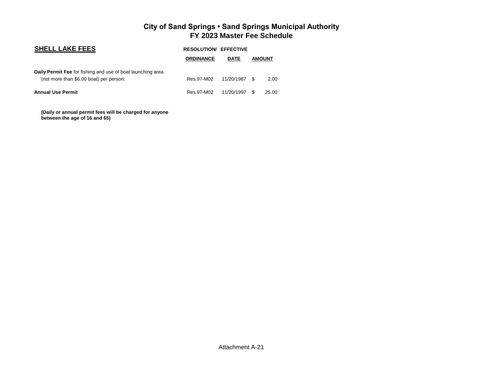| <b>SHELL LAKE FEES</b>                                                                                 |                  | <b>RESOLUTION/ EFFECTIVE</b> |               |       |
|--------------------------------------------------------------------------------------------------------|------------------|------------------------------|---------------|-------|
|                                                                                                        | <b>ORDINANCE</b> | <b>DATE</b>                  | <b>AMOUNT</b> |       |
| Daily Permit Fee for fishing and use of boat launching area<br>(not more than \$6.00 boat) per person: | Res.97-M02       | 11/20/1987                   | -96           | 2.00  |
| <b>Annual Use Permit</b>                                                                               | Res.97-M02       | 11/20/1997                   | <b>.S</b>     | 25.00 |

 **(Daily or annual permit fees will be charged for anyone between the age of 16 and 65)**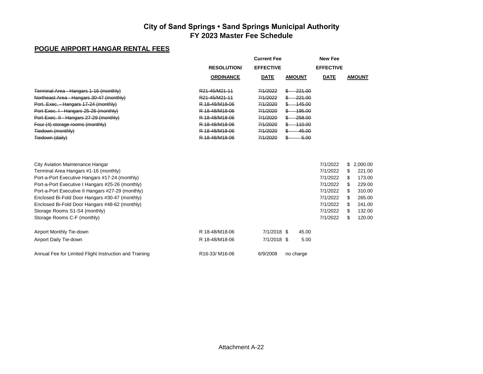## **POGUE AIRPORT HANGAR RENTAL FEES**

|                                                                                                                                                                                                                                                                                                                                                                                                          |                                                                                                                                        | <b>Current Fee</b>                                       |                                                                        | <b>New Fee</b>                                                                                           |                                                                                                                                              |  |  |  |
|----------------------------------------------------------------------------------------------------------------------------------------------------------------------------------------------------------------------------------------------------------------------------------------------------------------------------------------------------------------------------------------------------------|----------------------------------------------------------------------------------------------------------------------------------------|----------------------------------------------------------|------------------------------------------------------------------------|----------------------------------------------------------------------------------------------------------|----------------------------------------------------------------------------------------------------------------------------------------------|--|--|--|
|                                                                                                                                                                                                                                                                                                                                                                                                          | <b>RESOLUTION</b>                                                                                                                      | <b>EFFECTIVE</b>                                         |                                                                        | <b>EFFECTIVE</b>                                                                                         |                                                                                                                                              |  |  |  |
|                                                                                                                                                                                                                                                                                                                                                                                                          | <b>ORDINANCE</b>                                                                                                                       | <b>DATE</b>                                              | <b>AMOUNT</b>                                                          | <b>DATE</b>                                                                                              | <b>AMOUNT</b>                                                                                                                                |  |  |  |
| Terminal Area - Hangars 1-16 (monthly)<br>Northeast Area - Hangars 30-47 (monthly)<br>Port. Exec. - Hangars 17-24 (monthly)<br>Port Exec. I - Hangars 25-26 (monthly)<br>Port Exec. II - Hangars 27-29 (monthly)                                                                                                                                                                                         | R <sub>21</sub> -45/M <sub>21-11</sub><br>R <sub>21</sub> -45/M <sub>21-11</sub><br>R 18-48/M18-06<br>R 18-48/M18-06<br>R 18-48/M18-06 | 7/1/2022<br>7/1/2022<br>7/1/2020<br>7/1/2020<br>7/1/2020 | -221.00<br>\$-<br>-221.00<br>$$ -145.00$<br>$-195.00$<br>258.00<br>\$— |                                                                                                          |                                                                                                                                              |  |  |  |
| Four (4) storage rooms (monthly)<br>Tiedown (monthly)<br>Tiedown (daily)                                                                                                                                                                                                                                                                                                                                 | R 18-48/M18-06<br>R 18-48/M18-06<br>R 18-48/M18-06                                                                                     | 7/1/2020<br>7/1/2020<br>7/1/2020                         | $$ -110.00$<br>45.00<br>\$—<br>$-5.00$<br>\$–                          |                                                                                                          |                                                                                                                                              |  |  |  |
| City Aviation Maintenance Hangar<br>Terminal Area Hangars #1-16 (monthly)<br>Port-a-Port Executive Hangars #17-24 (monthly)<br>Port-a-Port Executive I Hangars #25-26 (monthly)<br>Port-a-Port Executive II Hangars #27-29 (monthly)<br>Enclosed Bi-Fold Door Hangars #30-47 (monthly)<br>Enclosed Bi-Fold Door Hangars #48-62 (monthly)<br>Storage Rooms S1-S4 (monthly)<br>Storage Rooms C-F (monthly) |                                                                                                                                        |                                                          |                                                                        | 7/1/2022<br>7/1/2022<br>7/1/2022<br>7/1/2022<br>7/1/2022<br>7/1/2022<br>7/1/2022<br>7/1/2022<br>7/1/2022 | 2,000.00<br>\$<br>\$<br>221.00<br>\$<br>173.00<br>\$<br>229.00<br>\$<br>310.00<br>265.00<br>S<br>\$<br>241.00<br>132.00<br>S<br>\$<br>120.00 |  |  |  |
| Airport Monthly Tie-down<br>Airport Daily Tie-down                                                                                                                                                                                                                                                                                                                                                       | R 18-48/M18-06<br>R 18-48/M18-06                                                                                                       | 7/1/2018 \$<br>7/1/2018 \$                               | 45.00<br>5.00                                                          |                                                                                                          |                                                                                                                                              |  |  |  |
| Annual Fee for Limited Flight Instruction and Training                                                                                                                                                                                                                                                                                                                                                   | R16-33/M16-06                                                                                                                          | 6/9/2008                                                 | no charge                                                              |                                                                                                          |                                                                                                                                              |  |  |  |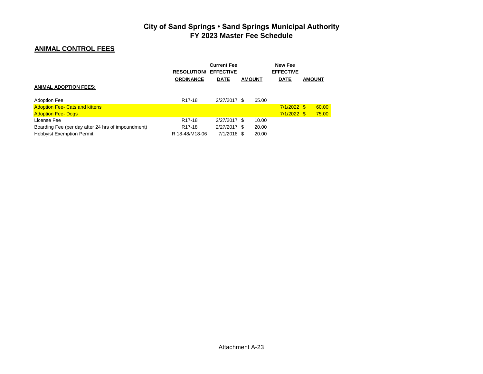## **ANIMAL CONTROL FEES**

|                                                    | <b>RESOLUTION</b>   | <b>Current Fee</b><br><b>EFFECTIVE</b> |               |       | New Fee<br><b>EFFECTIVE</b> |               |
|----------------------------------------------------|---------------------|----------------------------------------|---------------|-------|-----------------------------|---------------|
|                                                    | <b>ORDINANCE</b>    | <b>DATE</b>                            | <b>AMOUNT</b> |       | <b>DATE</b>                 | <b>AMOUNT</b> |
| <b>ANIMAL ADOPTION FEES:</b>                       |                     |                                        |               |       |                             |               |
| <b>Adoption Fee</b>                                | R <sub>17</sub> -18 | 2/27/2017 \$                           |               | 65.00 |                             |               |
| <b>Adoption Fee- Cats and kittens</b>              |                     |                                        |               |       | $7/1/2022$ \$               | 60.00         |
| <b>Adoption Fee- Dogs</b>                          |                     |                                        |               |       | $7/1/2022$ \$               | 75.00         |
| License Fee                                        | R <sub>17-18</sub>  | 2/27/2017 \$                           |               | 10.00 |                             |               |
| Boarding Fee (per day after 24 hrs of impoundment) | R <sub>17-18</sub>  | 2/27/2017 \$                           |               | 20.00 |                             |               |
| <b>Hobbyist Exemption Permit</b>                   | R 18-48/M18-06      | 7/1/2018 \$                            |               | 20.00 |                             |               |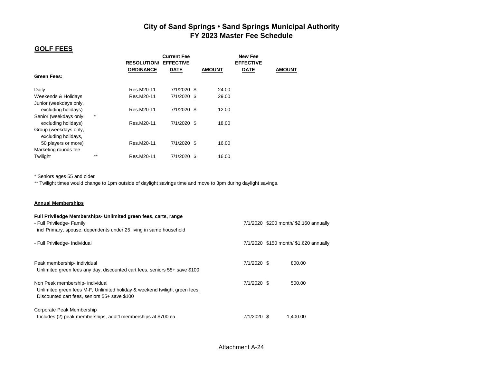### **GOLF FEES**

|                        |         | <b>RESOLUTION/</b> | <b>Current Fee</b><br><b>EFFECTIVE</b> |               | <b>New Fee</b><br><b>EFFECTIVE</b> |               |
|------------------------|---------|--------------------|----------------------------------------|---------------|------------------------------------|---------------|
|                        |         | <b>ORDINANCE</b>   | <b>DATE</b>                            | <b>AMOUNT</b> | <b>DATE</b>                        | <b>AMOUNT</b> |
| <b>Green Fees:</b>     |         |                    |                                        |               |                                    |               |
| Daily                  |         | Res.M20-11         | 7/1/2020 \$                            | 24.00         |                                    |               |
| Weekends & Holidays    |         | Res.M20-11         | 7/1/2020 \$                            | 29.00         |                                    |               |
| Junior (weekdays only, |         |                    |                                        |               |                                    |               |
| excluding holidays)    |         | Res.M20-11         | 7/1/2020 \$                            | 12.00         |                                    |               |
| Senior (weekdays only, | $\star$ |                    |                                        |               |                                    |               |
| excluding holidays)    |         | Res.M20-11         | 7/1/2020 \$                            | 18.00         |                                    |               |
| Group (weekdays only,  |         |                    |                                        |               |                                    |               |
| excluding holidays,    |         |                    |                                        |               |                                    |               |
| 50 players or more)    |         | Res.M20-11         | 7/1/2020 \$                            | 16.00         |                                    |               |
| Marketing rounds fee   |         |                    |                                        |               |                                    |               |
| Twiliaht               | $**$    | Res.M20-11         | 7/1/2020 \$                            | 16.00         |                                    |               |

\* Seniors ages 55 and older

\*\* Twilight times would change to 1pm outside of daylight savings time and move to 3pm during daylight savings.

#### **Annual Memberships**

| Full Priviledge Memberships- Unlimited green fees, carts, range<br>- Full Priviledge- Family                                                                  |             | 7/1/2020 \$200 month/ \$2,160 annually |
|---------------------------------------------------------------------------------------------------------------------------------------------------------------|-------------|----------------------------------------|
| incl Primary, spouse, dependents under 25 living in same household                                                                                            |             |                                        |
| - Full Priviledge- Individual                                                                                                                                 |             | 7/1/2020 \$150 month/ \$1,620 annually |
| Peak membership- individual<br>Unlimited green fees any day, discounted cart fees, seniors 55+ save \$100                                                     | 7/1/2020 \$ | 800.00                                 |
| Non Peak membership- individual<br>Unlimited green fees M-F, Unlimited holiday & weekend twilight green fees,<br>Discounted cart fees, seniors 55+ save \$100 | 7/1/2020 \$ | 500.00                                 |
| Corporate Peak Membership<br>Includes (2) peak memberships, addt'l memberships at \$700 ea                                                                    | 7/1/2020 \$ | 1,400.00                               |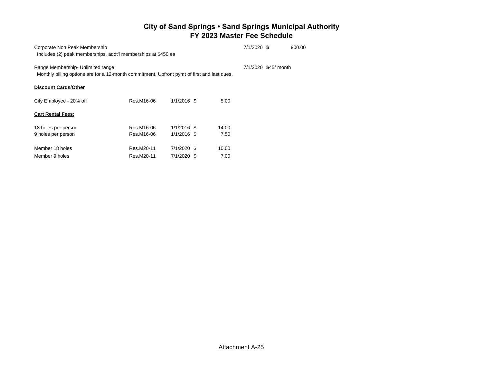| Corporate Non Peak Membership<br>Includes (2) peak memberships, addt'l memberships at \$450 ea                                   |                          |                                |               | 7/1/2020 \$ |                      | 900.00 |
|----------------------------------------------------------------------------------------------------------------------------------|--------------------------|--------------------------------|---------------|-------------|----------------------|--------|
| Range Membership- Unlimited range<br>Monthly billing options are for a 12-month commitment, Upfront pymt of first and last dues. |                          |                                |               |             | 7/1/2020 \$45/ month |        |
| <b>Discount Cards/Other</b>                                                                                                      |                          |                                |               |             |                      |        |
| City Employee - 20% off                                                                                                          | Res.M16-06               | $1/1/2016$ \$                  | 5.00          |             |                      |        |
| <b>Cart Rental Fees:</b>                                                                                                         |                          |                                |               |             |                      |        |
| 18 holes per person<br>9 holes per person                                                                                        | Res.M16-06<br>Res.M16-06 | $1/1/2016$ \$<br>$1/1/2016$ \$ | 14.00<br>7.50 |             |                      |        |
| Member 18 holes<br>Member 9 holes                                                                                                | Res.M20-11<br>Res.M20-11 | 7/1/2020 \$<br>7/1/2020 \$     | 10.00<br>7.00 |             |                      |        |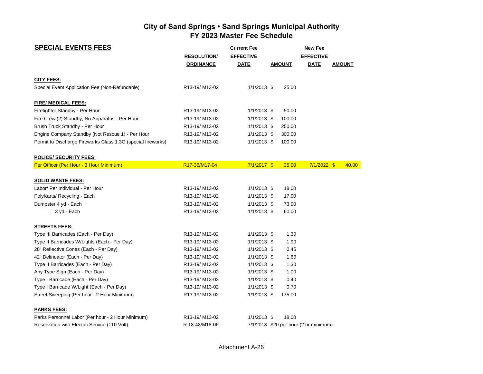| <b>SPECIAL EVENTS FEES</b>                                   |                    | <b>Current Fee</b> |               | <b>New Fee</b>                        |               |
|--------------------------------------------------------------|--------------------|--------------------|---------------|---------------------------------------|---------------|
|                                                              | <b>RESOLUTION/</b> | <b>EFFECTIVE</b>   |               | <b>EFFECTIVE</b>                      |               |
|                                                              | <b>ORDINANCE</b>   | <b>DATE</b>        | <b>AMOUNT</b> | <b>DATE</b>                           | <b>AMOUNT</b> |
| <b>CITY FEES:</b>                                            |                    |                    |               |                                       |               |
| Special Event Application Fee (Non-Refundable)               | R13-19/M13-02      | $1/1/2013$ \$      | 25.00         |                                       |               |
| <b>FIRE/ MEDICAL FEES:</b>                                   |                    |                    |               |                                       |               |
| Firefighter Standby - Per Hour                               | R13-19/M13-02      | $1/1/2013$ \$      | 50.00         |                                       |               |
| Fire Crew (2) Standby, No Apparatus - Per Hour               | R13-19/M13-02      | $1/1/2013$ \$      | 100.00        |                                       |               |
| Brush Truck Standby - Per Hour                               | R13-19/M13-02      | $1/1/2013$ \$      | 250.00        |                                       |               |
| Engine Company Standby (Not Rescue 1) - Per Hour             | R13-19/M13-02      | $1/1/2013$ \$      | 300.00        |                                       |               |
| Permit to Discharge Fireworks Class 1.3G (special fireworks) | R13-19/M13-02      | $1/1/2013$ \$      | 100.00        |                                       |               |
| <b>POLICE/ SECURITY FEES:</b>                                |                    |                    |               |                                       |               |
| Per Officer (Per Hour - 3 Hour Minimum)                      | R17-36/M17-04      | $7/1/2017$ \$      | 35.00         | $7/1/2022$ \$                         | 40.00         |
| <b>SOLID WASTE FEES:</b>                                     |                    |                    |               |                                       |               |
| Labor/ Per Individual - Per Hour                             | R13-19/M13-02      | $1/1/2013$ \$      | 18.00         |                                       |               |
| PolyKarts/ Recycling - Each                                  | R13-19/M13-02      | $1/1/2013$ \$      | 17.00         |                                       |               |
| Dumpster 4 yd - Each                                         | R13-19/M13-02      | $1/1/2013$ \$      | 73.00         |                                       |               |
| 3 yd - Each                                                  | R13-19/M13-02      | $1/1/2013$ \$      | 60.00         |                                       |               |
| <b>STREETS FEES:</b>                                         |                    |                    |               |                                       |               |
| Type III Barricades (Each - Per Day)                         | R13-19/M13-02      | $1/1/2013$ \$      | 1.30          |                                       |               |
| Type II Barricades W/Lights (Each - Per Day)                 | R13-19/M13-02      | $1/1/2013$ \$      | 1.90          |                                       |               |
| 28" Reflective Cones (Each - Per Day)                        | R13-19/M13-02      | $1/1/2013$ \$      | 0.45          |                                       |               |
| 42" Delineator (Each - Per Day)                              | R13-19/M13-02      | $1/1/2013$ \$      | 1.60          |                                       |               |
| Type II Barricades (Each - Per Day)                          | R13-19/M13-02      | $1/1/2013$ \$      | 1.30          |                                       |               |
| Any Type Sign (Each - Per Day)                               | R13-19/M13-02      | $1/1/2013$ \$      | 1.00          |                                       |               |
| Type I Barricade (Each - Per Day)                            | R13-19/M13-02      | $1/1/2013$ \$      | 0.40          |                                       |               |
| Type I Barricade W/Light (Each - Per Day)                    | R13-19/M13-02      | $1/1/2013$ \$      | 0.70          |                                       |               |
| Street Sweeping (Per hour - 2 Hour Minimum)                  | R13-19/M13-02      | $1/1/2013$ \$      | 175.00        |                                       |               |
| <b>PARKS FEES:</b>                                           |                    |                    |               |                                       |               |
| Parks Personnel Labor (Per hour - 2 Hour Minimum)            | R13-19/M13-02      | $1/1/2013$ \$      | 18.00         |                                       |               |
| Reservation with Electric Service (110 Volt)                 | R 18-48/M18-06     |                    |               | 7/1/2018 \$20 per hour (2 hr minimum) |               |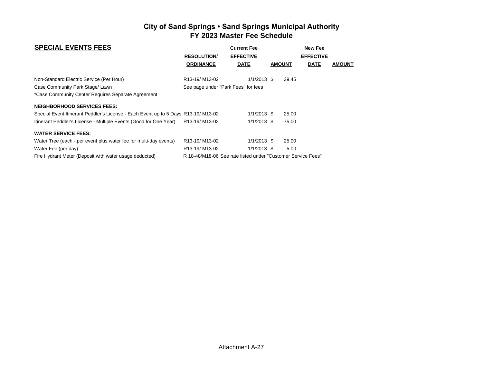| <b>SPECIAL EVENTS FEES</b>                                                        | <b>Current Fee</b>                     |                                                              |               | <b>New Fee</b>   |               |
|-----------------------------------------------------------------------------------|----------------------------------------|--------------------------------------------------------------|---------------|------------------|---------------|
|                                                                                   | <b>RESOLUTION</b>                      | <b>EFFECTIVE</b>                                             |               | <b>EFFECTIVE</b> |               |
|                                                                                   | <b>ORDINANCE</b>                       | <b>DATE</b>                                                  | <b>AMOUNT</b> | <b>DATE</b>      | <b>AMOUNT</b> |
| Non-Standard Electric Service (Per Hour)                                          | R <sub>13</sub> -19/M <sub>13-02</sub> | $1/1/2013$ \$                                                | 39.45         |                  |               |
| Case Community Park Stage/ Lawn                                                   | See page under "Park Fees" for fees    |                                                              |               |                  |               |
| *Case Community Center Requires Separate Agreement                                |                                        |                                                              |               |                  |               |
| <b>NEIGHBORHOOD SERVICES FEES:</b>                                                |                                        |                                                              |               |                  |               |
| Special Event Itinerant Peddler's License - Each Event up to 5 Days R13-19/M13-02 |                                        | $1/1/2013$ \$                                                | 25.00         |                  |               |
| Itinerant Peddler's License - Multiple Events (Good for One Year)                 | R <sub>13</sub> -19/M <sub>13-02</sub> | $1/1/2013$ \$                                                | 75.00         |                  |               |
| <b>WATER SERVICE FEES:</b>                                                        |                                        |                                                              |               |                  |               |
| Water Tree (each - per event plus water fee for multi-day events)                 | R <sub>13</sub> -19/M <sub>13-02</sub> | $1/1/2013$ \$                                                | 25.00         |                  |               |
| Water Fee (per day)                                                               | R <sub>13</sub> -19/M <sub>13-02</sub> | $1/1/2013$ \$                                                | 5.00          |                  |               |
| Fire Hydrant Meter (Deposit with water usage deducted)                            |                                        | R 18-48/M18-06 See rate listed under "Customer Service Fees" |               |                  |               |